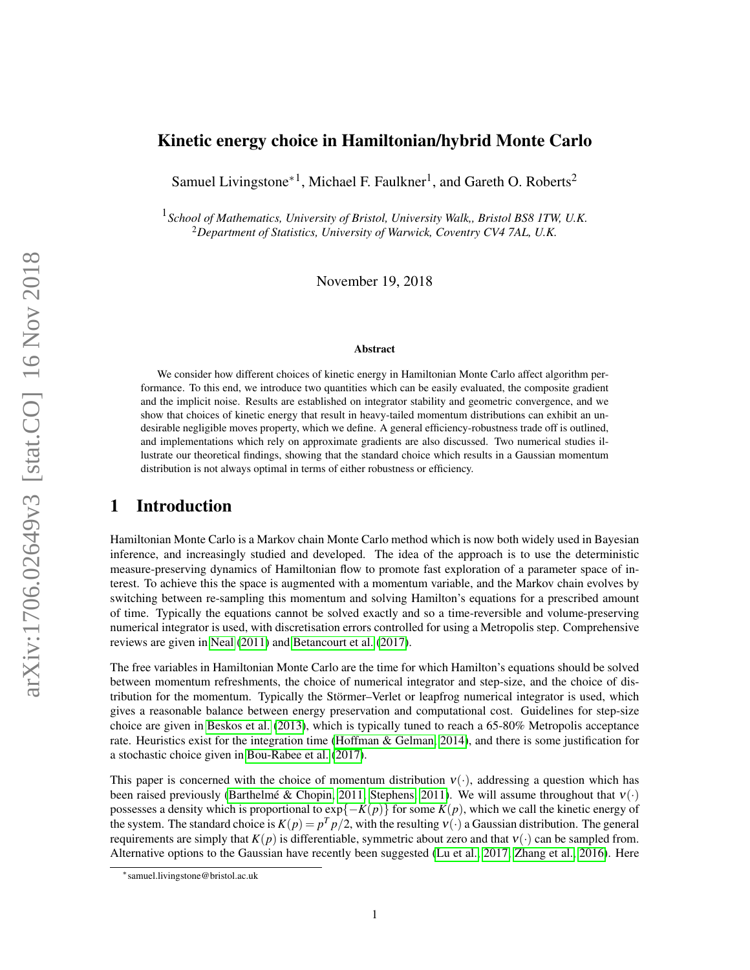## Kinetic energy choice in Hamiltonian/hybrid Monte Carlo

Samuel Livingstone<sup>\*1</sup>, Michael F. Faulkner<sup>1</sup>, and Gareth O. Roberts<sup>2</sup>

1 *School of Mathematics, University of Bristol, University Walk,, Bristol BS8 1TW, U.K.* <sup>2</sup>*Department of Statistics, University of Warwick, Coventry CV4 7AL, U.K.*

November 19, 2018

#### Abstract

We consider how different choices of kinetic energy in Hamiltonian Monte Carlo affect algorithm performance. To this end, we introduce two quantities which can be easily evaluated, the composite gradient and the implicit noise. Results are established on integrator stability and geometric convergence, and we show that choices of kinetic energy that result in heavy-tailed momentum distributions can exhibit an undesirable negligible moves property, which we define. A general efficiency-robustness trade off is outlined, and implementations which rely on approximate gradients are also discussed. Two numerical studies illustrate our theoretical findings, showing that the standard choice which results in a Gaussian momentum distribution is not always optimal in terms of either robustness or efficiency.

### 1 Introduction

Hamiltonian Monte Carlo is a Markov chain Monte Carlo method which is now both widely used in Bayesian inference, and increasingly studied and developed. The idea of the approach is to use the deterministic measure-preserving dynamics of Hamiltonian flow to promote fast exploration of a parameter space of interest. To achieve this the space is augmented with a momentum variable, and the Markov chain evolves by switching between re-sampling this momentum and solving Hamilton's equations for a prescribed amount of time. Typically the equations cannot be solved exactly and so a time-reversible and volume-preserving numerical integrator is used, with discretisation errors controlled for using a Metropolis step. Comprehensive reviews are given in [Neal](#page-14-0) [\(2011\)](#page-14-0) and [Betancourt et al.](#page-13-0) [\(2017\)](#page-13-0).

The free variables in Hamiltonian Monte Carlo are the time for which Hamilton's equations should be solved between momentum refreshments, the choice of numerical integrator and step-size, and the choice of distribution for the momentum. Typically the Stormer–Verlet or leapfrog numerical integrator is used, which ¨ gives a reasonable balance between energy preservation and computational cost. Guidelines for step-size choice are given in [Beskos et al.](#page-13-1) [\(2013\)](#page-13-1), which is typically tuned to reach a 65-80% Metropolis acceptance rate. Heuristics exist for the integration time [\(Hoffman & Gelman, 2014\)](#page-13-2), and there is some justification for a stochastic choice given in [Bou-Rabee et al.](#page-13-3) [\(2017\)](#page-13-3).

This paper is concerned with the choice of momentum distribution  $v(\cdot)$ , addressing a question which has been raised previously (Barthelmé & Chopin, 2011; [Stephens, 2011\)](#page-14-1). We will assume throughout that  $v(\cdot)$ possesses a density which is proportional to  $exp{-K(p)}$  for some  $K(p)$ , which we call the kinetic energy of the system. The standard choice is  $K(p) = p^T p/2$ , with the resulting  $v(\cdot)$  a Gaussian distribution. The general requirements are simply that  $K(p)$  is differentiable, symmetric about zero and that  $V(\cdot)$  can be sampled from. Alternative options to the Gaussian have recently been suggested [\(Lu et al., 2017;](#page-14-2) [Zhang et al., 2016\)](#page-14-3). Here

<sup>∗</sup> samuel.livingstone@bristol.ac.uk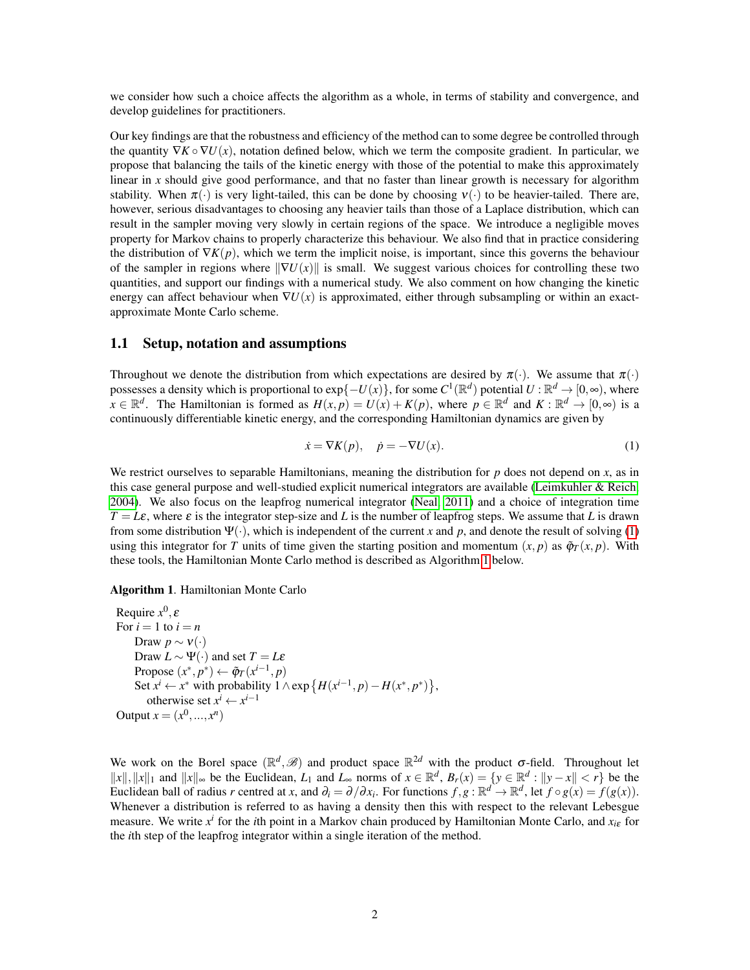we consider how such a choice affects the algorithm as a whole, in terms of stability and convergence, and develop guidelines for practitioners.

Our key findings are that the robustness and efficiency of the method can to some degree be controlled through the quantity  $\nabla K \circ \nabla U(x)$ , notation defined below, which we term the composite gradient. In particular, we propose that balancing the tails of the kinetic energy with those of the potential to make this approximately linear in *x* should give good performance, and that no faster than linear growth is necessary for algorithm stability. When  $\pi(\cdot)$  is very light-tailed, this can be done by choosing  $v(\cdot)$  to be heavier-tailed. There are, however, serious disadvantages to choosing any heavier tails than those of a Laplace distribution, which can result in the sampler moving very slowly in certain regions of the space. We introduce a negligible moves property for Markov chains to properly characterize this behaviour. We also find that in practice considering the distribution of  $\nabla K(p)$ , which we term the implicit noise, is important, since this governs the behaviour of the sampler in regions where  $\|\nabla U(x)\|$  is small. We suggest various choices for controlling these two quantities, and support our findings with a numerical study. We also comment on how changing the kinetic energy can affect behaviour when  $\nabla U(x)$  is approximated, either through subsampling or within an exactapproximate Monte Carlo scheme.

#### 1.1 Setup, notation and assumptions

Throughout we denote the distribution from which expectations are desired by  $\pi(\cdot)$ . We assume that  $\pi(\cdot)$ possesses a density which is proportional to  $exp{-U(x)}$ , for some  $C^1(\mathbb{R}^d)$  potential  $U : \mathbb{R}^d \to [0,\infty)$ , where  $x \in \mathbb{R}^d$ . The Hamiltonian is formed as  $H(x, p) = U(x) + K(p)$ , where  $p \in \mathbb{R}^d$  and  $K : \mathbb{R}^d \to [0, \infty)$  is a continuously differentiable kinetic energy, and the corresponding Hamiltonian dynamics are given by

<span id="page-1-0"></span>
$$
\dot{x} = \nabla K(p), \quad \dot{p} = -\nabla U(x). \tag{1}
$$

We restrict ourselves to separable Hamiltonians, meaning the distribution for  $p$  does not depend on  $x$ , as in this case general purpose and well-studied explicit numerical integrators are available [\(Leimkuhler & Reich,](#page-13-4) [2004\)](#page-13-4). We also focus on the leapfrog numerical integrator [\(Neal, 2011\)](#page-14-0) and a choice of integration time  $T = L\varepsilon$ , where  $\varepsilon$  is the integrator step-size and *L* is the number of leapfrog steps. We assume that *L* is drawn from some distribution  $\Psi(\cdot)$ , which is independent of the current x and p, and denote the result of solving [\(1\)](#page-1-0) using this integrator for *T* units of time given the starting position and momentum  $(x, p)$  as  $\tilde{\varphi}_T(x, p)$ . With these tools, the Hamiltonian Monte Carlo method is described as Algorithm [1](#page-1-1) below.

#### Algorithm 1. Hamiltonian Monte Carlo

```
Require x
0
, ε
For i = 1 to i = nDraw p \sim v(\cdot)Draw L \sim \Psi(\cdot) and set T = L\varepsilonPropose (x^*, p^*) \leftarrow \tilde{\varphi}_T(x^{i-1}, p)Set x^i ← x^* with probability 1 \wedge \exp\left\{H(x^{i-1}, p) - H(x^*, p^*)\right\},otherwise set x^i \leftarrow x^{i-1}Output x = (x^0, ..., x^n)
```
We work on the Borel space  $(\mathbb{R}^d, \mathscr{B})$  and product space  $\mathbb{R}^{2d}$  with the product  $\sigma$ -field. Throughout let  $||x||$ ,  $||x||_1$  and  $||x||_{\infty}$  be the Euclidean, *L*<sub>1</sub> and *L*<sub>∞</sub> norms of  $x \in \mathbb{R}^d$ ,  $B_r(x) = \{y \in \mathbb{R}^d : ||y - x|| < r\}$  be the Euclidean ball of radius *r* centred at *x*, and  $\partial_i = \partial/\partial x_i$ . For functions  $f, g : \mathbb{R}^d \to \mathbb{R}^d$ , let  $f \circ g(x) = f(g(x))$ . Whenever a distribution is referred to as having a density then this with respect to the relevant Lebesgue measure. We write *x i* for the *i*th point in a Markov chain produced by Hamiltonian Monte Carlo, and *xi*<sup>ε</sup> for the *i*th step of the leapfrog integrator within a single iteration of the method.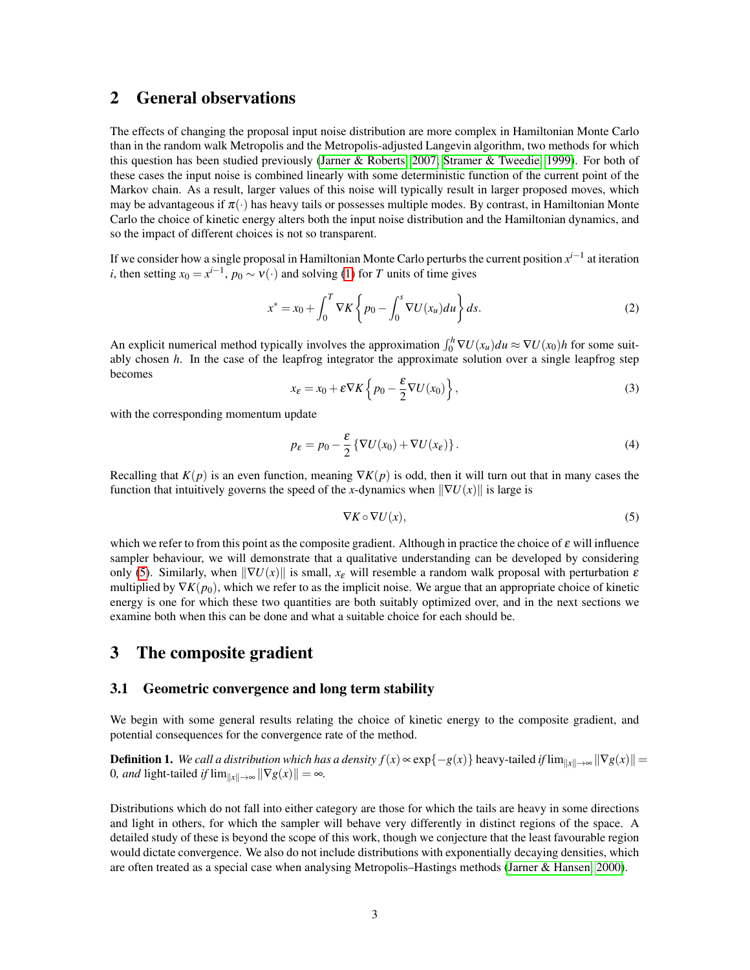## 2 General observations

The effects of changing the proposal input noise distribution are more complex in Hamiltonian Monte Carlo than in the random walk Metropolis and the Metropolis-adjusted Langevin algorithm, two methods for which this question has been studied previously [\(Jarner & Roberts, 2007;](#page-13-5) [Stramer & Tweedie, 1999\)](#page-14-4). For both of these cases the input noise is combined linearly with some deterministic function of the current point of the Markov chain. As a result, larger values of this noise will typically result in larger proposed moves, which may be advantageous if  $\pi(\cdot)$  has heavy tails or possesses multiple modes. By contrast, in Hamiltonian Monte Carlo the choice of kinetic energy alters both the input noise distribution and the Hamiltonian dynamics, and so the impact of different choices is not so transparent.

If we consider how a single proposal in Hamiltonian Monte Carlo perturbs the current position *x i*−1 at iteration *i*, then setting  $x_0 = x^{i-1}$ ,  $p_0 \sim v(\cdot)$  and solving [\(1\)](#page-1-0) for *T* units of time gives

$$
x^* = x_0 + \int_0^T \nabla K \left\{ p_0 - \int_0^s \nabla U(x_u) du \right\} ds.
$$
 (2)

An explicit numerical method typically involves the approximation  $\int_0^h \nabla U(x_u) du \approx \nabla U(x_0) h$  for some suitably chosen *h*. In the case of the leapfrog integrator the approximate solution over a single leapfrog step becomes

$$
x_{\varepsilon} = x_0 + \varepsilon \nabla K \left\{ p_0 - \frac{\varepsilon}{2} \nabla U(x_0) \right\},\tag{3}
$$

with the corresponding momentum update

<span id="page-2-1"></span>
$$
p_{\varepsilon} = p_0 - \frac{\varepsilon}{2} \left\{ \nabla U(x_0) + \nabla U(x_{\varepsilon}) \right\}.
$$
 (4)

Recalling that  $K(p)$  is an even function, meaning  $\nabla K(p)$  is odd, then it will turn out that in many cases the function that intuitively governs the speed of the *x*-dynamics when  $\|\nabla U(x)\|$  is large is

<span id="page-2-0"></span>
$$
\nabla K \circ \nabla U(x),\tag{5}
$$

which we refer to from this point as the composite gradient. Although in practice the choice of  $\varepsilon$  will influence sampler behaviour, we will demonstrate that a qualitative understanding can be developed by considering only [\(5\)](#page-2-0). Similarly, when  $\|\nabla U(x)\|$  is small,  $x_{\varepsilon}$  will resemble a random walk proposal with perturbation  $\varepsilon$ multiplied by  $\nabla K(p_0)$ , which we refer to as the implicit noise. We argue that an appropriate choice of kinetic energy is one for which these two quantities are both suitably optimized over, and in the next sections we examine both when this can be done and what a suitable choice for each should be.

### 3 The composite gradient

#### 3.1 Geometric convergence and long term stability

We begin with some general results relating the choice of kinetic energy to the composite gradient, and potential consequences for the convergence rate of the method.

**Definition 1.** *We call a distribution which has a density*  $f(x) \propto \exp\{-g(x)\}\$  *heavy-tailed <i>if* lim $\|x\| \to \infty \|\nabla g(x)\|$  = 0*, and* light-tailed *if*  $\lim_{\|x\| \to \infty} \|\nabla g(x)\| = \infty$ *.* 

Distributions which do not fall into either category are those for which the tails are heavy in some directions and light in others, for which the sampler will behave very differently in distinct regions of the space. A detailed study of these is beyond the scope of this work, though we conjecture that the least favourable region would dictate convergence. We also do not include distributions with exponentially decaying densities, which are often treated as a special case when analysing Metropolis–Hastings methods [\(Jarner & Hansen, 2000\)](#page-13-6).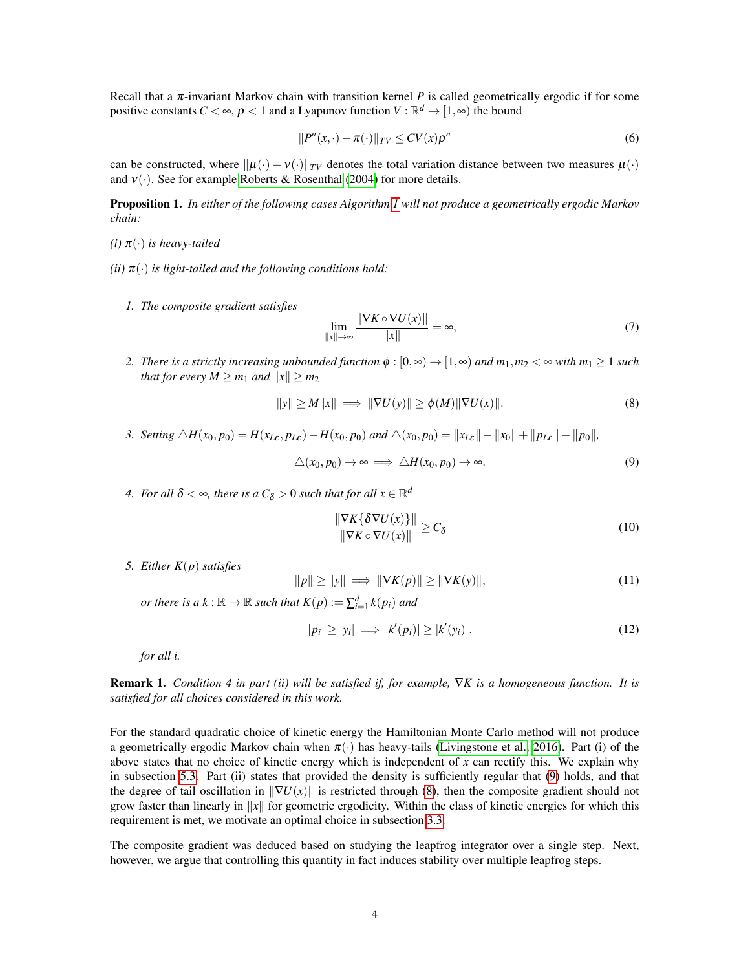Recall that a  $\pi$ -invariant Markov chain with transition kernel P is called geometrically ergodic if for some positive constants  $C < \infty$ ,  $\rho < 1$  and a Lyapunov function  $V : \mathbb{R}^d \to [1, \infty)$  the bound

<span id="page-3-2"></span>
$$
||P^{n}(x,\cdot)-\pi(\cdot)||_{TV} \le CV(x)\rho^{n}
$$
\n(6)

can be constructed, where  $\|\mu(\cdot) - \nu(\cdot)\|_{TV}$  denotes the total variation distance between two measures  $\mu(\cdot)$ and  $v(\cdot)$ . See for example [Roberts & Rosenthal](#page-14-5) [\(2004\)](#page-14-5) for more details.

<span id="page-3-3"></span>Proposition 1. *In either of the following cases Algorithm [1](#page-1-1) will not produce a geometrically ergodic Markov chain:*

- $(i)$   $\pi(\cdot)$  *is heavy-tailed*
- *(ii)*  $\pi(\cdot)$  *is light-tailed and the following conditions hold:* 
	- *1. The composite gradient satisfies*

<span id="page-3-4"></span>
$$
\lim_{\|x\| \to \infty} \frac{\|\nabla K \circ \nabla U(x)\|}{\|x\|} = \infty,\tag{7}
$$

*2. There is a strictly increasing unbounded function*  $\phi$  :  $[0, \infty) \to [1, \infty)$  *and*  $m_1, m_2 < \infty$  *with*  $m_1 \geq 1$  *such that for every*  $M \ge m_1$  *and*  $||x|| \ge m_2$ 

<span id="page-3-1"></span><span id="page-3-0"></span>
$$
||y|| \ge M||x|| \implies ||\nabla U(y)|| \ge \phi(M) ||\nabla U(x)||. \tag{8}
$$

- 3. Setting  $\triangle H(x_0, p_0) = H(x_{L\varepsilon}, p_{L\varepsilon}) H(x_0, p_0)$  and  $\triangle(x_0, p_0) = ||x_{L\varepsilon}|| ||x_0|| + ||p_{L\varepsilon}|| ||p_0||$ ,  $\triangle(x_0, p_0) \rightarrow \infty \implies \triangle H(x_0, p_0) \rightarrow \infty.$  (9)
- 4. For all  $\delta < \infty$ , there is a  $C_{\delta} > 0$  such that for all  $x \in \mathbb{R}^d$

<span id="page-3-6"></span>
$$
\frac{\|\nabla K\{\delta\nabla U(x)\}\|}{\|\nabla K\circ\nabla U(x)\|} \ge C_{\delta}
$$
\n(10)

*5. Either K*(*p*) *satisfies*

<span id="page-3-7"></span>
$$
||p|| \ge ||y|| \implies ||\nabla K(p)|| \ge ||\nabla K(y)||,\tag{11}
$$

*or there is a*  $k : \mathbb{R} \to \mathbb{R}$  *such that*  $K(p) := \sum_{i=1}^{d} k(p_i)$  *and* 

<span id="page-3-5"></span>
$$
|p_i| \ge |y_i| \implies |k'(p_i)| \ge |k'(y_i)|. \tag{12}
$$

*for all i.*

Remark 1. *Condition 4 in part (ii) will be satisfied if, for example,* ∇*K is a homogeneous function. It is satisfied for all choices considered in this work.*

For the standard quadratic choice of kinetic energy the Hamiltonian Monte Carlo method will not produce a geometrically ergodic Markov chain when  $\pi(\cdot)$  has heavy-tails [\(Livingstone et al., 2016\)](#page-14-6). Part (i) of the above states that no choice of kinetic energy which is independent of  $x$  can rectify this. We explain why in subsection [5.3.](#page-9-0) Part (ii) states that provided the density is sufficiently regular that [\(9\)](#page-3-0) holds, and that the degree of tail oscillation in  $\|\nabla U(x)\|$  is restricted through [\(8\)](#page-3-1), then the composite gradient should not grow faster than linearly in  $||x||$  for geometric ergodicity. Within the class of kinetic energies for which this requirement is met, we motivate an optimal choice in subsection [3.3.](#page-5-0)

The composite gradient was deduced based on studying the leapfrog integrator over a single step. Next, however, we argue that controlling this quantity in fact induces stability over multiple leapfrog steps.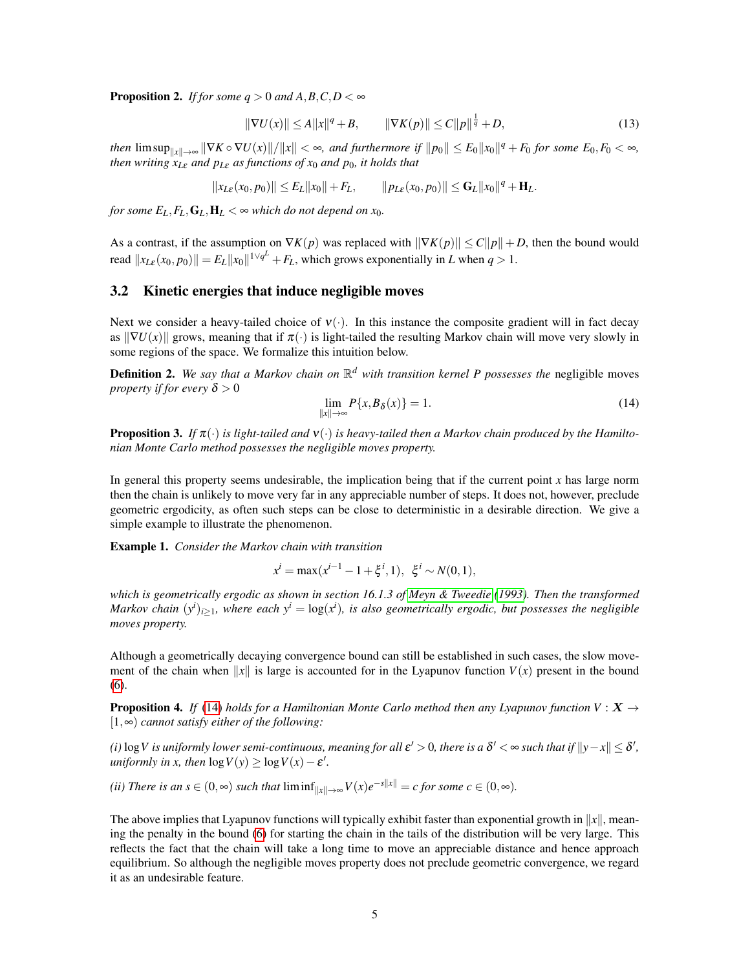<span id="page-4-3"></span>**Proposition 2.** *If for some*  $q > 0$  *and A,B,C,D* <  $\infty$ 

$$
\|\nabla U(x)\| \le A\|x\|^q + B, \qquad \|\nabla K(p)\| \le C\|p\|^{\frac{1}{q}} + D,\tag{13}
$$

*then*  $\limsup_{\|x\| \to \infty} \|\nabla K \circ \nabla U(x)\| / \|x\| < \infty$ , and furthermore if  $\|p_0\| \le E_0 \|x_0\|^q + F_0$  for some  $E_0, F_0 < \infty$ , *then writing*  $x_{L\epsilon}$  *and*  $p_{L\epsilon}$  *as functions of*  $x_0$  *and*  $p_0$ *, it holds that* 

$$
||x_{L\varepsilon}(x_0,p_0)|| \leq E_L ||x_0|| + F_L, \qquad ||p_{L\varepsilon}(x_0,p_0)|| \leq \mathbf{G}_L ||x_0||^q + \mathbf{H}_L.
$$

*for some*  $E_L$ ,  $F_L$ ,  $G_L$ ,  $H_L < \infty$  *which do not depend on x*<sub>0</sub>.

As a contrast, if the assumption on  $\nabla K(p)$  was replaced with  $\|\nabla K(p)\| \leq C\|p\| + D$ , then the bound would read  $||x_{L\varepsilon}(x_0, p_0)|| = E_L ||x_0||^{1/\sqrt{q^L}} + F_L$ , which grows exponentially in *L* when  $q > 1$ .

### <span id="page-4-1"></span>3.2 Kinetic energies that induce negligible moves

Next we consider a heavy-tailed choice of  $v(\cdot)$ . In this instance the composite gradient will in fact decay as  $\|\nabla U(x)\|$  grows, meaning that if  $\pi(\cdot)$  is light-tailed the resulting Markov chain will move very slowly in some regions of the space. We formalize this intuition below.

Definition 2. *We say that a Markov chain on* R *<sup>d</sup> with transition kernel P possesses the* negligible moves *property if for every*  $\delta > 0$ 

<span id="page-4-0"></span>
$$
\lim_{\|x\| \to \infty} P\{x, B_\delta(x)\} = 1. \tag{14}
$$

<span id="page-4-2"></span>**Proposition 3.** If  $\pi(\cdot)$  is light-tailed and  $v(\cdot)$  is heavy-tailed then a Markov chain produced by the Hamilto*nian Monte Carlo method possesses the negligible moves property.*

In general this property seems undesirable, the implication being that if the current point  $x$  has large norm then the chain is unlikely to move very far in any appreciable number of steps. It does not, however, preclude geometric ergodicity, as often such steps can be close to deterministic in a desirable direction. We give a simple example to illustrate the phenomenon.

Example 1. *Consider the Markov chain with transition*

$$
x^{i} = \max(x^{i-1} - 1 + \xi^{i}, 1), \ \xi^{i} \sim N(0, 1),
$$

*which is geometrically ergodic as shown in section 16.1.3 of [Meyn & Tweedie](#page-14-7) [\(1993\)](#page-14-7). Then the transformed Markov chain*  $(y^{i})_{i\geq 1}$ , where each  $y^{i} = \log(x^{i})$ , is also geometrically ergodic, but possesses the negligible *moves property.*

Although a geometrically decaying convergence bound can still be established in such cases, the slow movement of the chain when  $||x||$  is large is accounted for in the Lyapunov function  $V(x)$  present in the bound [\(6\)](#page-3-2).

<span id="page-4-4"></span>**Proposition 4.** *If* [\(14\)](#page-4-0) *holds for a Hamiltonian Monte Carlo method then any Lyapunov function V* :  $X \rightarrow$ [1,∞) *cannot satisfy either of the following:*

*(i)* log *V* is uniformly lower semi-continuous, meaning for all  $\varepsilon' > 0$ , there is a  $\delta' < \infty$  such that if  $||y - x|| \leq \delta'$ , *uniformly in x, then*  $log V(y) \ge log V(x) - \varepsilon'$ .

*(ii) There is an s*  $\in (0, \infty)$  *such that*  $\liminf_{\|x\| \to \infty} V(x)e^{-s\|x\|} = c$  *for some*  $c \in (0, \infty)$ *.* 

The above implies that Lyapunov functions will typically exhibit faster than exponential growth in  $||x||$ , meaning the penalty in the bound [\(6\)](#page-3-2) for starting the chain in the tails of the distribution will be very large. This reflects the fact that the chain will take a long time to move an appreciable distance and hence approach equilibrium. So although the negligible moves property does not preclude geometric convergence, we regard it as an undesirable feature.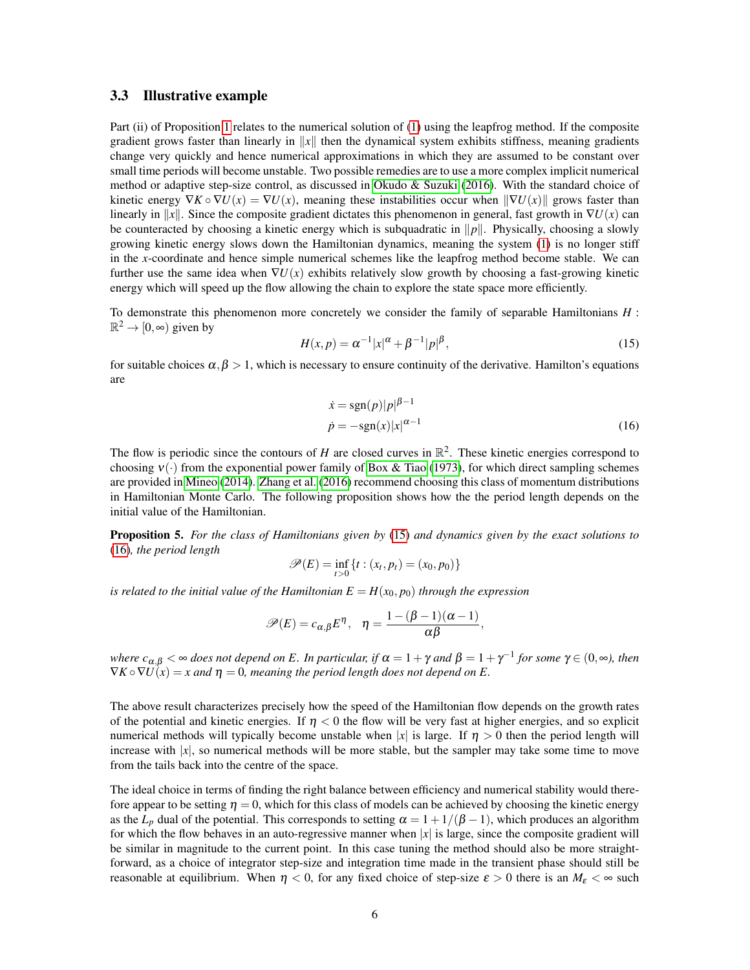#### <span id="page-5-0"></span>3.3 Illustrative example

Part (ii) of Proposition [1](#page-3-3) relates to the numerical solution of [\(1\)](#page-1-0) using the leapfrog method. If the composite gradient grows faster than linearly in  $||x||$  then the dynamical system exhibits stiffness, meaning gradients change very quickly and hence numerical approximations in which they are assumed to be constant over small time periods will become unstable. Two possible remedies are to use a more complex implicit numerical method or adaptive step-size control, as discussed in [Okudo & Suzuki](#page-14-8) [\(2016\)](#page-14-8). With the standard choice of kinetic energy  $\nabla K \circ \nabla U(x) = \nabla U(x)$ , meaning these instabilities occur when  $\|\nabla U(x)\|$  grows faster than linearly in ||x||. Since the composite gradient dictates this phenomenon in general, fast growth in  $\nabla U(x)$  can be counteracted by choosing a kinetic energy which is subquadratic in  $\|p\|$ . Physically, choosing a slowly growing kinetic energy slows down the Hamiltonian dynamics, meaning the system [\(1\)](#page-1-0) is no longer stiff in the *x*-coordinate and hence simple numerical schemes like the leapfrog method become stable. We can further use the same idea when  $\nabla U(x)$  exhibits relatively slow growth by choosing a fast-growing kinetic energy which will speed up the flow allowing the chain to explore the state space more efficiently.

To demonstrate this phenomenon more concretely we consider the family of separable Hamiltonians *H* :  $\mathbb{R}^2 \to [0, \infty)$  given by

<span id="page-5-1"></span>
$$
H(x,p) = \alpha^{-1}|x|^{\alpha} + \beta^{-1}|p|^{\beta},
$$
\n(15)

for suitable choices  $\alpha, \beta > 1$ , which is necessary to ensure continuity of the derivative. Hamilton's equations are

<span id="page-5-2"></span>
$$
\begin{aligned} \n\dot{x} &= \text{sgn}(p)|p|^{\beta - 1} \\ \n\dot{p} &= -\text{sgn}(x)|x|^{\alpha - 1} \n\end{aligned} \tag{16}
$$

The flow is periodic since the contours of *H* are closed curves in  $\mathbb{R}^2$ . These kinetic energies correspond to choosing  $v(\cdot)$  from the exponential power family of [Box & Tiao](#page-13-7) [\(1973\)](#page-13-7), for which direct sampling schemes are provided in [Mineo](#page-14-9) [\(2014\)](#page-14-9). [Zhang et al.](#page-14-3) [\(2016\)](#page-14-3) recommend choosing this class of momentum distributions in Hamiltonian Monte Carlo. The following proposition shows how the the period length depends on the initial value of the Hamiltonian.

<span id="page-5-3"></span>Proposition 5. *For the class of Hamiltonians given by* [\(15\)](#page-5-1) *and dynamics given by the exact solutions to* [\(16\)](#page-5-2)*, the period length*

$$
\mathscr{P}(E)=\inf_{t>0}\left\{t:(x_t,p_t)=(x_0,p_0)\right\}
$$

*is related to the initial value of the Hamiltonian*  $E = H(x_0, p_0)$  *through the expression* 

$$
\mathscr{P}(E) = c_{\alpha,\beta} E^{\eta}, \quad \eta = \frac{1 - (\beta - 1)(\alpha - 1)}{\alpha \beta},
$$

*where*  $c_{\alpha,\beta} < \infty$  *does not depend on E. In particular, if*  $\alpha = 1 + \gamma$  *and*  $\beta = 1 + \gamma^{-1}$  *for some*  $\gamma \in (0,\infty)$ *, then*  $\nabla K \circ \nabla U(x) = x$  and  $\eta = 0$ , meaning the period length does not depend on E.

The above result characterizes precisely how the speed of the Hamiltonian flow depends on the growth rates of the potential and kinetic energies. If  $\eta < 0$  the flow will be very fast at higher energies, and so explicit numerical methods will typically become unstable when |*x*| is large. If  $\eta > 0$  then the period length will increase with |*x*|, so numerical methods will be more stable, but the sampler may take some time to move from the tails back into the centre of the space.

The ideal choice in terms of finding the right balance between efficiency and numerical stability would therefore appear to be setting  $\eta = 0$ , which for this class of models can be achieved by choosing the kinetic energy as the  $L_p$  dual of the potential. This corresponds to setting  $\alpha = 1 + 1/(\beta - 1)$ , which produces an algorithm for which the flow behaves in an auto-regressive manner when  $|x|$  is large, since the composite gradient will be similar in magnitude to the current point. In this case tuning the method should also be more straightforward, as a choice of integrator step-size and integration time made in the transient phase should still be reasonable at equilibrium. When  $\eta < 0$ , for any fixed choice of step-size  $\varepsilon > 0$  there is an  $M_{\varepsilon} < \infty$  such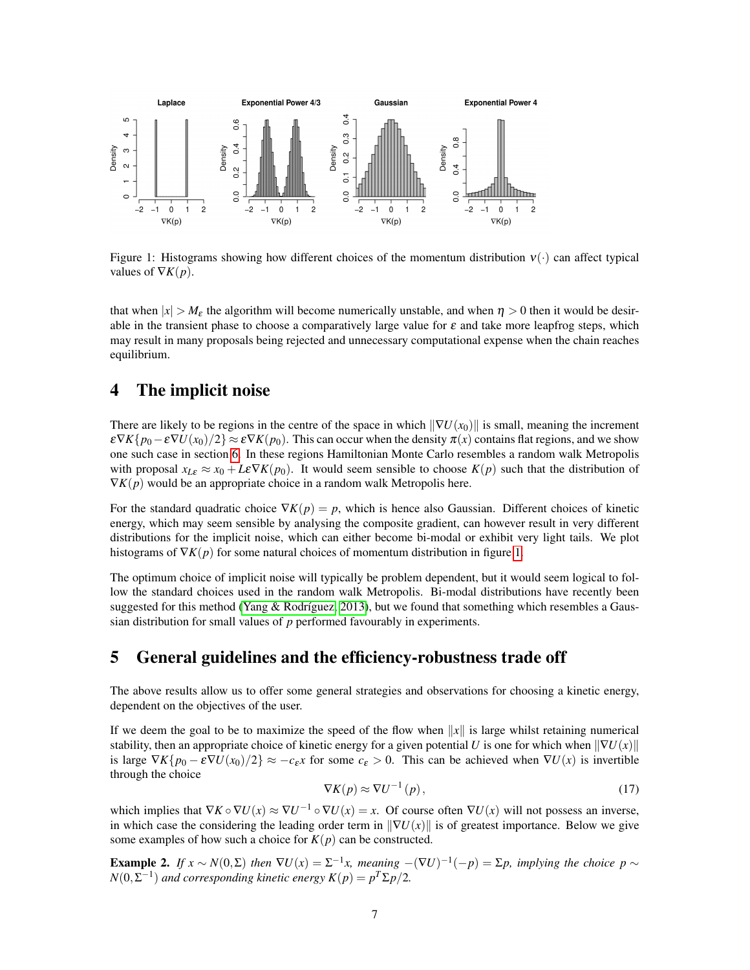

<span id="page-6-0"></span>Figure 1: Histograms showing how different choices of the momentum distribution  $v(\cdot)$  can affect typical values of  $\nabla K(p)$ .

that when  $|x| > M_{\epsilon}$  the algorithm will become numerically unstable, and when  $\eta > 0$  then it would be desirable in the transient phase to choose a comparatively large value for  $\varepsilon$  and take more leapfrog steps, which may result in many proposals being rejected and unnecessary computational expense when the chain reaches equilibrium.

### <span id="page-6-1"></span>4 The implicit noise

There are likely to be regions in the centre of the space in which  $\|\nabla U(x_0)\|$  is small, meaning the increment  $\epsilon \nabla K\{p_0 - \epsilon \nabla U(x_0)/2\} \approx \epsilon \nabla K(p_0)$ . This can occur when the density  $\pi(x)$  contains flat regions, and we show one such case in section [6.](#page-9-1) In these regions Hamiltonian Monte Carlo resembles a random walk Metropolis with proposal  $x_{L\varepsilon} \approx x_0 + L\varepsilon \nabla K(p_0)$ . It would seem sensible to choose  $K(p)$  such that the distribution of  $\nabla K(p)$  would be an appropriate choice in a random walk Metropolis here.

For the standard quadratic choice  $\nabla K(p) = p$ , which is hence also Gaussian. Different choices of kinetic energy, which may seem sensible by analysing the composite gradient, can however result in very different distributions for the implicit noise, which can either become bi-modal or exhibit very light tails. We plot histograms of  $\nabla K(p)$  for some natural choices of momentum distribution in figure [1.](#page-6-0)

The optimum choice of implicit noise will typically be problem dependent, but it would seem logical to follow the standard choices used in the random walk Metropolis. Bi-modal distributions have recently been suggested for this method (Yang & Rodríguez, 2013), but we found that something which resembles a Gaussian distribution for small values of *p* performed favourably in experiments.

### 5 General guidelines and the efficiency-robustness trade off

The above results allow us to offer some general strategies and observations for choosing a kinetic energy, dependent on the objectives of the user.

If we deem the goal to be to maximize the speed of the flow when  $||x||$  is large whilst retaining numerical stability, then an appropriate choice of kinetic energy for a given potential *U* is one for which when  $\|\nabla U(x)\|$ is large  $\nabla K\{p_0 - \varepsilon \nabla U(x_0)/2\} \approx -c_{\varepsilon}x$  for some  $c_{\varepsilon} > 0$ . This can be achieved when  $\nabla U(x)$  is invertible through the choice

$$
\nabla K(p) \approx \nabla U^{-1}(p),\tag{17}
$$

which implies that  $\nabla K \circ \nabla U(x) \approx \nabla U^{-1} \circ \nabla U(x) = x$ . Of course often  $\nabla U(x)$  will not possess an inverse, in which case the considering the leading order term in  $\|\nabla U(x)\|$  is of greatest importance. Below we give some examples of how such a choice for  $K(p)$  can be constructed.

**Example 2.** *If*  $x \sim N(0, \Sigma)$  *then*  $\nabla U(x) = \Sigma^{-1}x$ , *meaning*  $-(\nabla U)^{-1}(-p) = \Sigma p$ , *implying the choice*  $p \sim$  $N(0, \Sigma^{-1})$  and corresponding kinetic energy  $K(p) = p^T \Sigma p/2$ .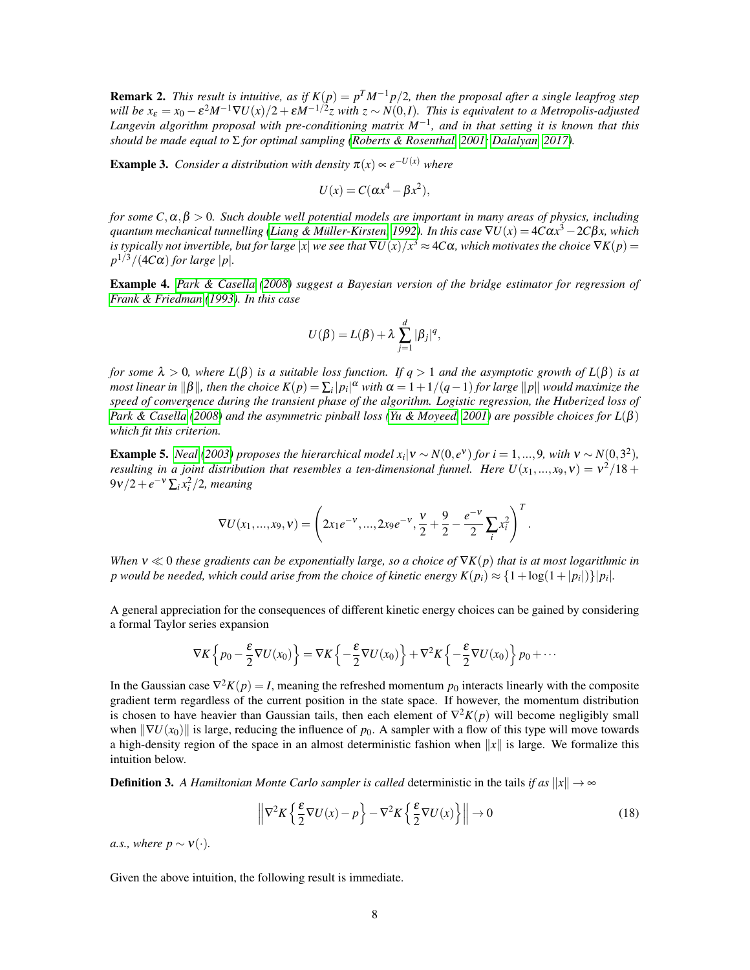**Remark 2.** *This result is intuitive, as if*  $K(p) = p^T M^{-1} p/2$ , then the proposal after a single leapfrog step *will be*  $x_{\epsilon} = x_0 - \epsilon^2 M^{-1} \nabla U(x)/2 + \epsilon M^{-1/2} z$  with  $z \sim N(0,I)$ . This is equivalent to a Metropolis-adjusted *Langevin algorithm proposal with pre-conditioning matrix M*−<sup>1</sup> *, and in that setting it is known that this should be made equal to* Σ *for optimal sampling [\(Roberts & Rosenthal, 2001;](#page-14-11) [Dalalyan, 2017\)](#page-13-8).*

**Example 3.** *Consider a distribution with density*  $\pi(x) \propto e^{-U(x)}$  *where* 

$$
U(x) = C(\alpha x^4 - \beta x^2),
$$

*for some*  $C, \alpha, \beta > 0$ *. Such double well potential models are important in many areas of physics, including*  $q$ uantum mechanical tunnelling (Liang & Müller-Kirsten, 1992). In this case  $\nabla U(x)$   $=$   $4C\alpha x^3$   $2C\beta x$ , which  $i$ s typically not invertible, but for large  $|x|$  we see that  $\nabla U(x)/x^3$   $\approx$  4C $\alpha$ , which motivates the choice  $\nabla K(p)$   $=$  $p^{1/3}/(4C\alpha)$  *for large*  $|p|$ *.* 

Example 4. *[Park & Casella](#page-14-12) [\(2008\)](#page-14-12) suggest a Bayesian version of the bridge estimator for regression of [Frank & Friedman](#page-13-10) [\(1993\)](#page-13-10). In this case*

$$
U(\beta) = L(\beta) + \lambda \sum_{j=1}^d |\beta_j|^q,
$$

*for some*  $\lambda > 0$ *, where*  $L(\beta)$  *is a suitable loss function. If*  $q > 1$  *and the asymptotic growth of*  $L(\beta)$  *is at*  $m$ ost linear in  $\|\beta\|$ , then the choice  $K(p)=\sum_i |p_i|^\alpha$  with  $\alpha=1+1/(q-1)$  for large  $\|p\|$  would maximize the *speed of convergence during the transient phase of the algorithm. Logistic regression, the Huberized loss of [Park & Casella](#page-14-12) [\(2008\)](#page-14-12) and the asymmetric pinball loss [\(Yu & Moyeed, 2001\)](#page-14-13) are possible choices for L*(β) *which fit this criterion.*

**Example 5.** *[Neal](#page-14-14)* [\(2003\)](#page-14-14) proposes the hierarchical model  $x_i | v \sim N(0, e^{\nu})$  for  $i = 1, ..., 9$ , with  $v \sim N(0, 3^2)$ , *resulting in a joint distribution that resembles a ten-dimensional funnel. Here*  $U(x_1,...,x_9, v) = v^2/18 +$  $9v/2 + e^{-v} \sum_i x_i^2/2$ , meaning

$$
\nabla U(x_1,...,x_9,\nu) = \left(2x_1e^{-\nu},...,2x_9e^{-\nu},\frac{\nu}{2}+\frac{9}{2}-\frac{e^{-\nu}}{2}\sum_i x_i^2\right)^T.
$$

*When*  $v \ll 0$  *these gradients can be exponentially large, so a choice of*  $\nabla K(p)$  *that is at most logarithmic in*  $p$  would be needed, which could arise from the choice of kinetic energy  $K(p_i)\approx \{1+\log(1+|p_i|)\}|p_i|.$ 

A general appreciation for the consequences of different kinetic energy choices can be gained by considering a formal Taylor series expansion

$$
\nabla K\left\{p_0 - \frac{\varepsilon}{2}\nabla U(x_0)\right\} = \nabla K\left\{-\frac{\varepsilon}{2}\nabla U(x_0)\right\} + \nabla^2 K\left\{-\frac{\varepsilon}{2}\nabla U(x_0)\right\}p_0 + \cdots
$$

In the Gaussian case  $\nabla^2 K(p) = I$ , meaning the refreshed momentum  $p_0$  interacts linearly with the composite gradient term regardless of the current position in the state space. If however, the momentum distribution is chosen to have heavier than Gaussian tails, then each element of  $\nabla^2 K(p)$  will become negligibly small when  $\|\nabla U(x_0)\|$  is large, reducing the influence of  $p_0$ . A sampler with a flow of this type will move towards a high-density region of the space in an almost deterministic fashion when  $||x||$  is large. We formalize this intuition below.

**Definition 3.** A Hamiltonian Monte Carlo sampler is called deterministic in the tails *if as*  $||x|| \rightarrow \infty$ 

$$
\left\| \nabla^2 K \left\{ \frac{\varepsilon}{2} \nabla U(x) - p \right\} - \nabla^2 K \left\{ \frac{\varepsilon}{2} \nabla U(x) \right\} \right\| \to 0 \tag{18}
$$

*a.s., where p*  $\sim$   $V(\cdot)$ *.* 

Given the above intuition, the following result is immediate.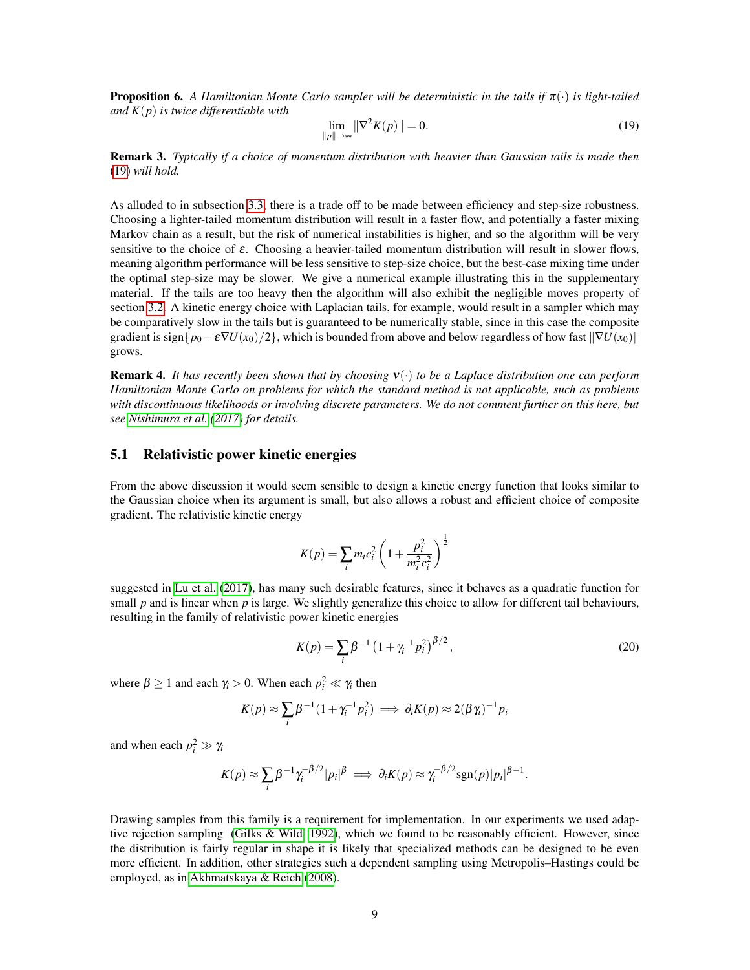<span id="page-8-2"></span>Proposition 6. *A Hamiltonian Monte Carlo sampler will be deterministic in the tails if* π(·) *is light-tailed and K*(*p*) *is twice differentiable with*

<span id="page-8-0"></span>
$$
\lim_{\|p\| \to \infty} \|\nabla^2 K(p)\| = 0.
$$
\n(19)

Remark 3. *Typically if a choice of momentum distribution with heavier than Gaussian tails is made then* [\(19\)](#page-8-0) *will hold.*

As alluded to in subsection [3.3,](#page-5-0) there is a trade off to be made between efficiency and step-size robustness. Choosing a lighter-tailed momentum distribution will result in a faster flow, and potentially a faster mixing Markov chain as a result, but the risk of numerical instabilities is higher, and so the algorithm will be very sensitive to the choice of  $\varepsilon$ . Choosing a heavier-tailed momentum distribution will result in slower flows, meaning algorithm performance will be less sensitive to step-size choice, but the best-case mixing time under the optimal step-size may be slower. We give a numerical example illustrating this in the supplementary material. If the tails are too heavy then the algorithm will also exhibit the negligible moves property of section [3.2.](#page-4-1) A kinetic energy choice with Laplacian tails, for example, would result in a sampler which may be comparatively slow in the tails but is guaranteed to be numerically stable, since in this case the composite gradient is sign $\{p_0 - \varepsilon \nabla U(x_0)/2\}$ , which is bounded from above and below regardless of how fast  $\|\nabla U(x_0)\|$ grows.

Remark 4. *It has recently been shown that by choosing* ν(·) *to be a Laplace distribution one can perform Hamiltonian Monte Carlo on problems for which the standard method is not applicable, such as problems with discontinuous likelihoods or involving discrete parameters. We do not comment further on this here, but see [Nishimura et al.](#page-14-15) [\(2017\)](#page-14-15) for details.*

#### <span id="page-8-1"></span>5.1 Relativistic power kinetic energies

From the above discussion it would seem sensible to design a kinetic energy function that looks similar to the Gaussian choice when its argument is small, but also allows a robust and efficient choice of composite gradient. The relativistic kinetic energy

$$
K(p) = \sum_{i} m_i c_i^2 \left( 1 + \frac{p_i^2}{m_i^2 c_i^2} \right)^{\frac{1}{2}}
$$

suggested in [Lu et al.](#page-14-2) [\(2017\)](#page-14-2), has many such desirable features, since it behaves as a quadratic function for small *p* and is linear when *p* is large. We slightly generalize this choice to allow for different tail behaviours, resulting in the family of relativistic power kinetic energies

$$
K(p) = \sum_{i} \beta^{-1} \left( 1 + \gamma_i^{-1} p_i^2 \right)^{\beta/2},\tag{20}
$$

where  $\beta \ge 1$  and each  $\gamma_i > 0$ . When each  $p_i^2 \ll \gamma_i$  then

$$
K(p) \approx \sum_{i} \beta^{-1} (1 + \gamma_i^{-1} p_i^2) \implies \partial_i K(p) \approx 2(\beta \gamma_i)^{-1} p_i
$$

and when each  $p_i^2 \gg \gamma_i$ 

$$
K(p) \approx \sum_i \beta^{-1} \gamma_i^{-\beta/2} |p_i|^{\beta} \implies \partial_i K(p) \approx \gamma_i^{-\beta/2} \text{sgn}(p) |p_i|^{\beta-1}.
$$

Drawing samples from this family is a requirement for implementation. In our experiments we used adaptive rejection sampling [\(Gilks & Wild, 1992\)](#page-13-11), which we found to be reasonably efficient. However, since the distribution is fairly regular in shape it is likely that specialized methods can be designed to be even more efficient. In addition, other strategies such a dependent sampling using Metropolis–Hastings could be employed, as in [Akhmatskaya & Reich](#page-12-1) [\(2008\)](#page-12-1).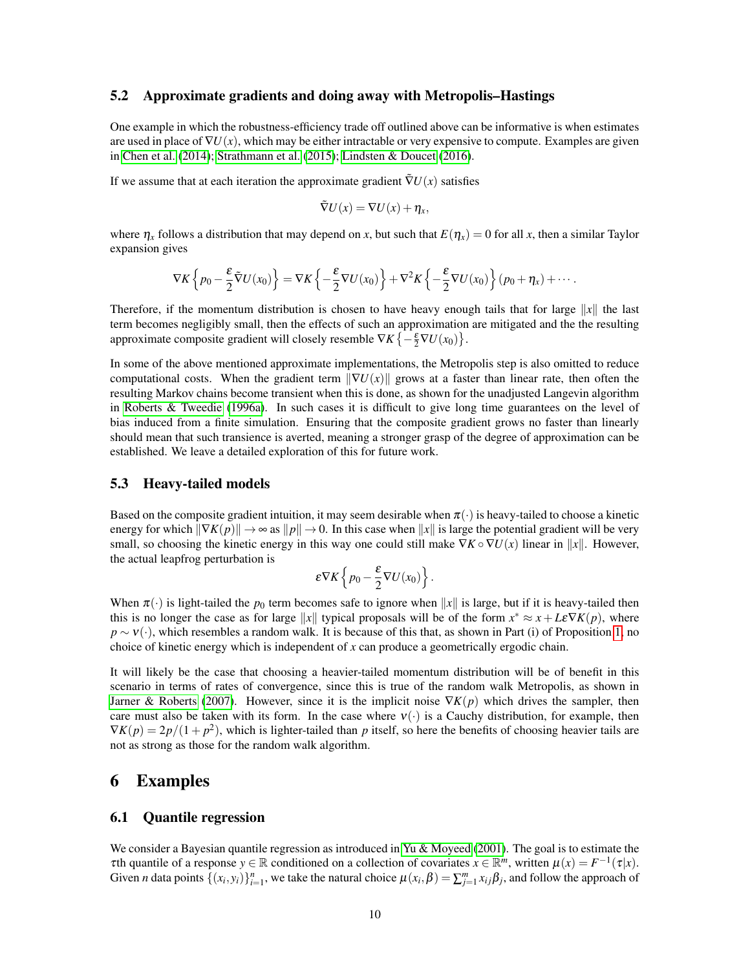#### 5.2 Approximate gradients and doing away with Metropolis–Hastings

One example in which the robustness-efficiency trade off outlined above can be informative is when estimates are used in place of  $\nabla U(x)$ , which may be either intractable or very expensive to compute. Examples are given in [Chen et al.](#page-13-12) [\(2014\)](#page-13-12); [Strathmann et al.](#page-14-16) [\(2015\)](#page-14-16); [Lindsten & Doucet](#page-13-13) [\(2016\)](#page-13-13).

If we assume that at each iteration the approximate gradient  $\tilde{\nabla}U(x)$  satisfies

$$
\tilde{\nabla}U(x)=\nabla U(x)+\eta_x,
$$

where  $\eta_x$  follows a distribution that may depend on *x*, but such that  $E(\eta_x) = 0$  for all *x*, then a similar Taylor expansion gives

$$
\nabla K\left\{p_0-\frac{\varepsilon}{2}\tilde{\nabla}U(x_0)\right\}=\nabla K\left\{-\frac{\varepsilon}{2}\nabla U(x_0)\right\}+\nabla^2 K\left\{-\frac{\varepsilon}{2}\nabla U(x_0)\right\}(p_0+\eta_x)+\cdots.
$$

Therefore, if the momentum distribution is chosen to have heavy enough tails that for large  $||x||$  the last term becomes negligibly small, then the effects of such an approximation are mitigated and the the resulting approximate composite gradient will closely resemble  $\nabla K \{-\frac{\varepsilon}{2} \nabla U(x_0)\}.$ 

In some of the above mentioned approximate implementations, the Metropolis step is also omitted to reduce computational costs. When the gradient term  $\|\nabla U(x)\|$  grows at a faster than linear rate, then often the resulting Markov chains become transient when this is done, as shown for the unadjusted Langevin algorithm in [Roberts & Tweedie](#page-14-17) [\(1996a\)](#page-14-17). In such cases it is difficult to give long time guarantees on the level of bias induced from a finite simulation. Ensuring that the composite gradient grows no faster than linearly should mean that such transience is averted, meaning a stronger grasp of the degree of approximation can be established. We leave a detailed exploration of this for future work.

#### <span id="page-9-0"></span>5.3 Heavy-tailed models

Based on the composite gradient intuition, it may seem desirable when  $\pi(\cdot)$  is heavy-tailed to choose a kinetic energy for which  $\|\nabla K(p)\| \to \infty$  as  $\|p\| \to 0$ . In this case when  $\|x\|$  is large the potential gradient will be very small, so choosing the kinetic energy in this way one could still make  $\nabla K \circ \nabla U(x)$  linear in ||x||. However, the actual leapfrog perturbation is

$$
\mathcal{E}\nabla K\left\{p_0-\frac{\mathcal{E}}{2}\nabla U(x_0)\right\}.
$$

When  $\pi(\cdot)$  is light-tailed the  $p_0$  term becomes safe to ignore when  $||x||$  is large, but if it is heavy-tailed then this is no longer the case as for large  $||x||$  typical proposals will be of the form  $x^* \approx x + L \varepsilon \nabla K(p)$ , where  $p \sim v(\cdot)$ , which resembles a random walk. It is because of this that, as shown in Part (i) of Proposition [1,](#page-3-3) no choice of kinetic energy which is independent of *x* can produce a geometrically ergodic chain.

It will likely be the case that choosing a heavier-tailed momentum distribution will be of benefit in this scenario in terms of rates of convergence, since this is true of the random walk Metropolis, as shown in [Jarner & Roberts](#page-13-5) [\(2007\)](#page-13-5). However, since it is the implicit noise  $\nabla K(p)$  which drives the sampler, then care must also be taken with its form. In the case where  $v(\cdot)$  is a Cauchy distribution, for example, then  $\nabla K(p) = 2p/(1+p^2)$ , which is lighter-tailed than *p* itself, so here the benefits of choosing heavier tails are not as strong as those for the random walk algorithm.

### <span id="page-9-1"></span>6 Examples

#### 6.1 Quantile regression

We consider a Bayesian quantile regression as introduced in [Yu & Moyeed](#page-14-13) [\(2001\)](#page-14-13). The goal is to estimate the  $\tau$ th quantile of a response  $y \in \mathbb{R}$  conditioned on a collection of covariates  $x \in \mathbb{R}^m$ , written  $\mu(x) = F^{-1}(\tau|x)$ . Given *n* data points  $\{(x_i, y_i)\}_{i=1}^n$ , we take the natural choice  $\mu(x_i, \beta) = \sum_{j=1}^m x_{ij} \beta_j$ , and follow the approach of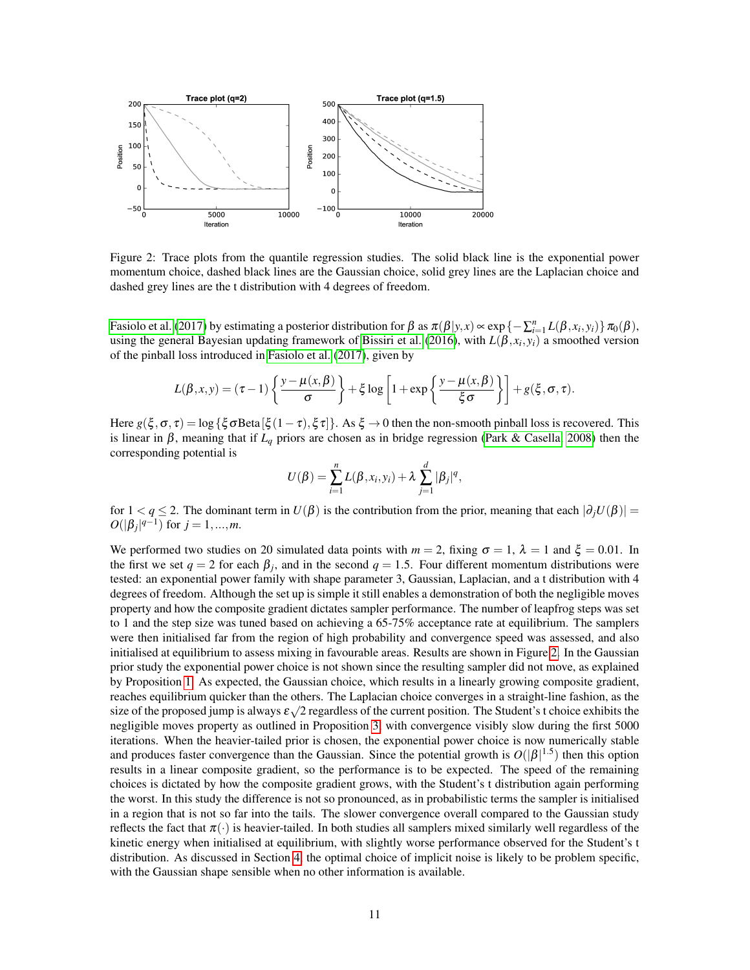

<span id="page-10-0"></span>Figure 2: Trace plots from the quantile regression studies. The solid black line is the exponential power momentum choice, dashed black lines are the Gaussian choice, solid grey lines are the Laplacian choice and dashed grey lines are the t distribution with 4 degrees of freedom.

[Fasiolo et al.](#page-13-14) [\(2017\)](#page-13-14) by estimating a posterior distribution for  $\beta$  as  $\pi(\beta|y,x) \propto \exp\{-\sum_{i=1}^{n} L(\beta, x_i, y_i)\}\pi_0(\beta)$ , using the general Bayesian updating framework of [Bissiri et al.](#page-13-15) [\(2016\)](#page-13-15), with  $L(\beta, x_i, y_i)$  a smoothed version of the pinball loss introduced in [Fasiolo et al.](#page-13-14) [\(2017\)](#page-13-14), given by

$$
L(\beta, x, y) = (\tau - 1) \left\{ \frac{y - \mu(x, \beta)}{\sigma} \right\} + \xi \log \left[ 1 + \exp \left\{ \frac{y - \mu(x, \beta)}{\xi \sigma} \right\} \right] + g(\xi, \sigma, \tau).
$$

Here  $g(\xi, \sigma, \tau) = \log {\{\xi \sigma \text{Beta}[\xi(1-\tau), \xi \tau]\}}$ . As  $\xi \to 0$  then the non-smooth pinball loss is recovered. This is linear in β, meaning that if  $L_q$  priors are chosen as in bridge regression [\(Park & Casella, 2008\)](#page-14-12) then the corresponding potential is

$$
U(\beta) = \sum_{i=1}^{n} L(\beta, x_i, y_i) + \lambda \sum_{j=1}^{d} |\beta_j|^q,
$$

for  $1 < q \le 2$ . The dominant term in  $U(\beta)$  is the contribution from the prior, meaning that each  $|\partial_j U(\beta)| =$  $O(|\beta_j|^{q-1})$  for  $j = 1, ..., m$ .

We performed two studies on 20 simulated data points with  $m = 2$ , fixing  $\sigma = 1$ ,  $\lambda = 1$  and  $\xi = 0.01$ . In the first we set  $q = 2$  for each  $\beta_j$ , and in the second  $q = 1.5$ . Four different momentum distributions were tested: an exponential power family with shape parameter 3, Gaussian, Laplacian, and a t distribution with 4 degrees of freedom. Although the set up is simple it still enables a demonstration of both the negligible moves property and how the composite gradient dictates sampler performance. The number of leapfrog steps was set to 1 and the step size was tuned based on achieving a 65-75% acceptance rate at equilibrium. The samplers were then initialised far from the region of high probability and convergence speed was assessed, and also initialised at equilibrium to assess mixing in favourable areas. Results are shown in Figure [2.](#page-10-0) In the Gaussian prior study the exponential power choice is not shown since the resulting sampler did not move, as explained by Proposition [1.](#page-3-3) As expected, the Gaussian choice, which results in a linearly growing composite gradient, reaches equilibrium quicker than the others. The Laplacian choice converges in a straight-line fashion, as the size of the proposed jump is always  $\varepsilon\sqrt{2}$  regardless of the current position. The Student's t choice exhibits the negligible moves property as outlined in Proposition [3,](#page-4-2) with convergence visibly slow during the first 5000 iterations. When the heavier-tailed prior is chosen, the exponential power choice is now numerically stable and produces faster convergence than the Gaussian. Since the potential growth is  $O(|\beta|^{1.5})$  then this option results in a linear composite gradient, so the performance is to be expected. The speed of the remaining choices is dictated by how the composite gradient grows, with the Student's t distribution again performing the worst. In this study the difference is not so pronounced, as in probabilistic terms the sampler is initialised in a region that is not so far into the tails. The slower convergence overall compared to the Gaussian study reflects the fact that  $\pi(\cdot)$  is heavier-tailed. In both studies all samplers mixed similarly well regardless of the kinetic energy when initialised at equilibrium, with slightly worse performance observed for the Student's t distribution. As discussed in Section [4,](#page-6-1) the optimal choice of implicit noise is likely to be problem specific, with the Gaussian shape sensible when no other information is available.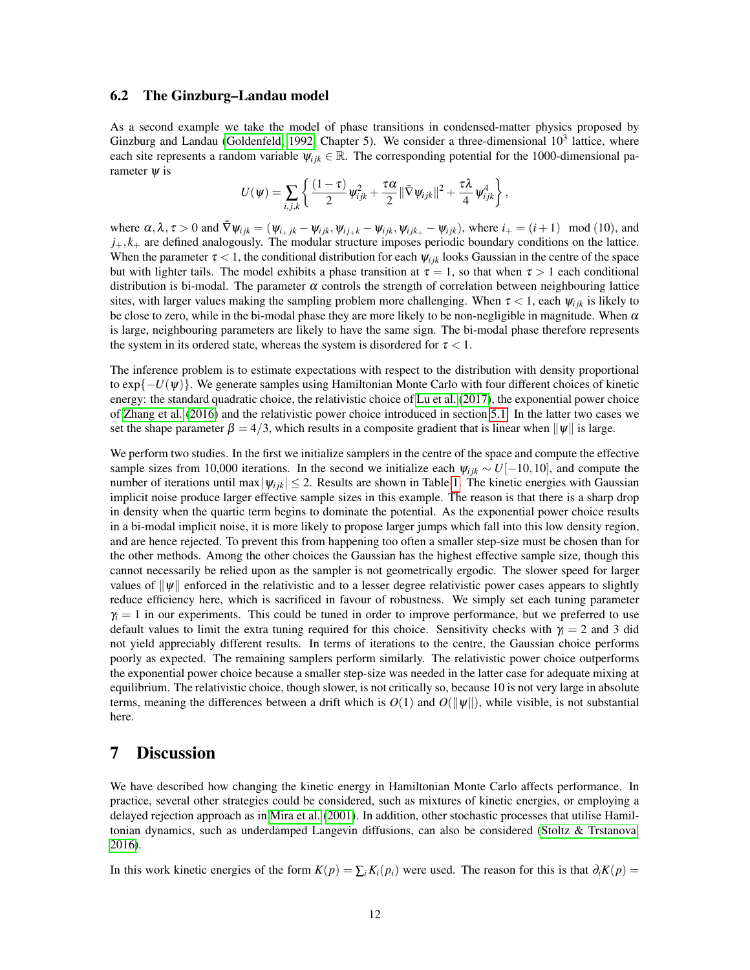#### 6.2 The Ginzburg–Landau model

As a second example we take the model of phase transitions in condensed-matter physics proposed by Ginzburg and Landau [\(Goldenfeld, 1992,](#page-13-16) Chapter 5). We consider a three-dimensional  $10^3$  lattice, where each site represents a random variable  $\psi_{ijk} \in \mathbb{R}$ . The corresponding potential for the 1000-dimensional parameter  $\psi$  is

$$
U(\psi) = \sum_{i,j,k} \left\{ \frac{(1-\tau)}{2} \psi_{ijk}^2 + \frac{\tau \alpha}{2} ||\tilde{\nabla} \psi_{ijk}||^2 + \frac{\tau \lambda}{4} \psi_{ijk}^4 \right\},\,
$$

where  $\alpha, \lambda, \tau > 0$  and  $\tilde{\nabla} \psi_{ijk} = (\psi_{i+jk} - \psi_{ijk}, \psi_{i j+ k} - \psi_{i j k}, \psi_{i j k+ \tau} - \psi_{i j k}),$  where  $i_+ = (i+1) \mod (10)$ , and  $j_+, k_+$  are defined analogously. The modular structure imposes periodic boundary conditions on the lattice. When the parameter  $\tau < 1$ , the conditional distribution for each  $\psi_{ijk}$  looks Gaussian in the centre of the space but with lighter tails. The model exhibits a phase transition at  $\tau = 1$ , so that when  $\tau > 1$  each conditional distribution is bi-modal. The parameter  $\alpha$  controls the strength of correlation between neighbouring lattice sites, with larger values making the sampling problem more challenging. When  $\tau < 1$ , each  $\psi_{ijk}$  is likely to be close to zero, while in the bi-modal phase they are more likely to be non-negligible in magnitude. When  $\alpha$ is large, neighbouring parameters are likely to have the same sign. The bi-modal phase therefore represents the system in its ordered state, whereas the system is disordered for  $\tau < 1$ .

The inference problem is to estimate expectations with respect to the distribution with density proportional to  $\exp\{-U(\psi)\}\.$  We generate samples using Hamiltonian Monte Carlo with four different choices of kinetic energy: the standard quadratic choice, the relativistic choice of [Lu et al.](#page-14-2) [\(2017\)](#page-14-2), the exponential power choice of [Zhang et al.](#page-14-3) [\(2016\)](#page-14-3) and the relativistic power choice introduced in section [5.1.](#page-8-1) In the latter two cases we set the shape parameter  $\beta = 4/3$ , which results in a composite gradient that is linear when  $\|\psi\|$  is large.

We perform two studies. In the first we initialize samplers in the centre of the space and compute the effective sample sizes from 10,000 iterations. In the second we initialize each  $\psi_{ijk} \sim U[-10,10]$ , and compute the number of iterations until max  $|\psi_{ijk}| \leq 2$ . Results are shown in Table [1.](#page-12-2) The kinetic energies with Gaussian implicit noise produce larger effective sample sizes in this example. The reason is that there is a sharp drop in density when the quartic term begins to dominate the potential. As the exponential power choice results in a bi-modal implicit noise, it is more likely to propose larger jumps which fall into this low density region, and are hence rejected. To prevent this from happening too often a smaller step-size must be chosen than for the other methods. Among the other choices the Gaussian has the highest effective sample size, though this cannot necessarily be relied upon as the sampler is not geometrically ergodic. The slower speed for larger values of  $\|\psi\|$  enforced in the relativistic and to a lesser degree relativistic power cases appears to slightly reduce efficiency here, which is sacrificed in favour of robustness. We simply set each tuning parameter  $\gamma_i = 1$  in our experiments. This could be tuned in order to improve performance, but we preferred to use default values to limit the extra tuning required for this choice. Sensitivity checks with  $\gamma_i = 2$  and 3 did not yield appreciably different results. In terms of iterations to the centre, the Gaussian choice performs poorly as expected. The remaining samplers perform similarly. The relativistic power choice outperforms the exponential power choice because a smaller step-size was needed in the latter case for adequate mixing at equilibrium. The relativistic choice, though slower, is not critically so, because 10 is not very large in absolute terms, meaning the differences between a drift which is  $O(1)$  and  $O(||\psi||)$ , while visible, is not substantial here.

### 7 Discussion

We have described how changing the kinetic energy in Hamiltonian Monte Carlo affects performance. In practice, several other strategies could be considered, such as mixtures of kinetic energies, or employing a delayed rejection approach as in [Mira et al.](#page-14-18) [\(2001\)](#page-14-18). In addition, other stochastic processes that utilise Hamiltonian dynamics, such as underdamped Langevin diffusions, can also be considered [\(Stoltz & Trstanova,](#page-14-19) [2016\)](#page-14-19).

In this work kinetic energies of the form  $K(p) = \sum_i K_i(p_i)$  were used. The reason for this is that  $\partial_i K(p) =$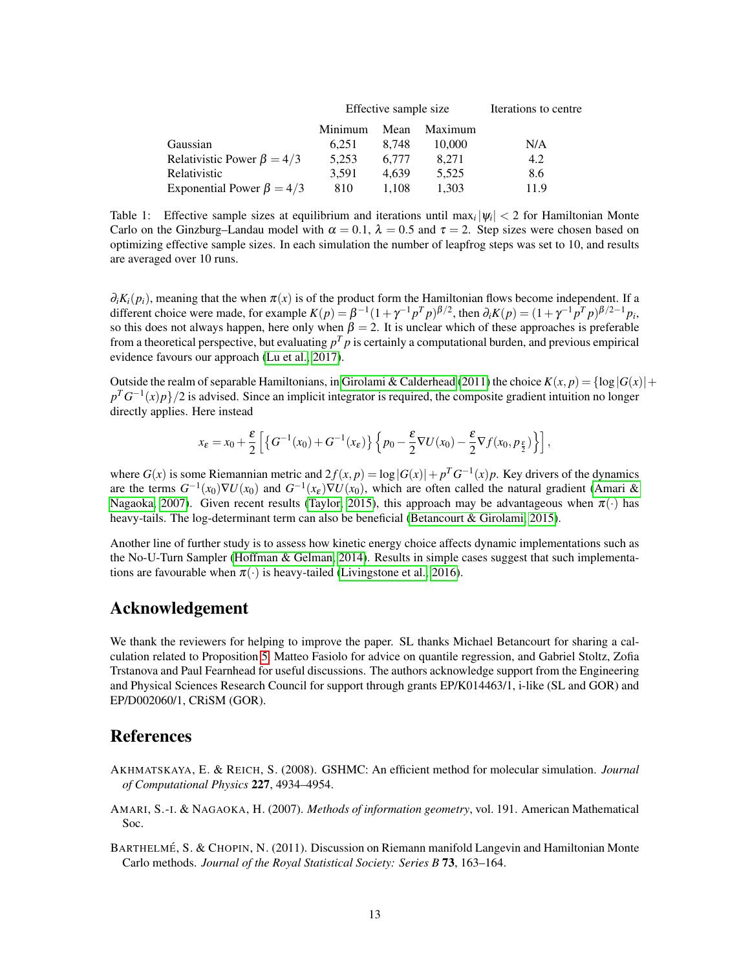|                                  |         | Effective sample size | Iterations to centre |      |
|----------------------------------|---------|-----------------------|----------------------|------|
|                                  | Minimum | Mean                  | Maximum              |      |
| Gaussian                         | 6.251   | 8.748                 | 10.000               | N/A  |
| Relativistic Power $\beta = 4/3$ | 5.253   | 6.777                 | 8.271                | 4.2  |
| Relativistic                     | 3.591   | 4.639                 | 5.525                | 8.6  |
| Exponential Power $\beta = 4/3$  | 810     | 1.108                 | 1.303                | 11.9 |

<span id="page-12-2"></span>Table 1: Effective sample sizes at equilibrium and iterations until  $\max_i |\psi_i| < 2$  for Hamiltonian Monte Carlo on the Ginzburg–Landau model with  $\alpha = 0.1$ ,  $\lambda = 0.5$  and  $\tau = 2$ . Step sizes were chosen based on optimizing effective sample sizes. In each simulation the number of leapfrog steps was set to 10, and results are averaged over 10 runs.

 $\partial_i K_i(p_i)$ , meaning that the when  $\pi(x)$  is of the product form the Hamiltonian flows become independent. If a different choice were made, for example  $K(p) = \beta^{-1}(1 + \gamma^{-1}p^Tp)^{\beta/2}$ , then  $\partial_i K(p) = (1 + \gamma^{-1}p^Tp)^{\beta/2-1}p_i$ , so this does not always happen, here only when  $\beta = 2$ . It is unclear which of these approaches is preferable from a theoretical perspective, but evaluating  $p^T p$  is certainly a computational burden, and previous empirical evidence favours our approach [\(Lu et al., 2017\)](#page-14-2).

Outside the realm of separable Hamiltonians, in [Girolami & Calderhead](#page-13-17) [\(2011\)](#page-13-17) the choice  $K(x, p) = \{\log |G(x)| +$  $p^T G^{-1}(x) p$  and *p* is advised. Since an implicit integrator is required, the composite gradient intuition no longer directly applies. Here instead

$$
x_{\varepsilon}=x_0+\frac{\varepsilon}{2}\left[\left\{G^{-1}(x_0)+G^{-1}(x_{\varepsilon})\right\}\left\{p_0-\frac{\varepsilon}{2}\nabla U(x_0)-\frac{\varepsilon}{2}\nabla f(x_0,p_{\frac{\varepsilon}{2}})\right\}\right],
$$

where  $G(x)$  is some Riemannian metric and  $2f(x, p) = \log |G(x)| + p^T G^{-1}(x) p$ . Key drivers of the dynamics are the terms  $G^{-1}(x_0)\nabla U(x_0)$  and  $G^{-1}(x_\varepsilon)\nabla U(x_0)$ , which are often called the natural gradient [\(Amari &](#page-12-3) [Nagaoka, 2007\)](#page-12-3). Given recent results [\(Taylor, 2015\)](#page-14-20), this approach may be advantageous when  $\pi(\cdot)$  has heavy-tails. The log-determinant term can also be beneficial [\(Betancourt & Girolami, 2015\)](#page-13-18).

Another line of further study is to assess how kinetic energy choice affects dynamic implementations such as the No-U-Turn Sampler [\(Hoffman & Gelman, 2014\)](#page-13-2). Results in simple cases suggest that such implementations are favourable when  $\pi(\cdot)$  is heavy-tailed [\(Livingstone et al., 2016\)](#page-14-6).

## Acknowledgement

We thank the reviewers for helping to improve the paper. SL thanks Michael Betancourt for sharing a calculation related to Proposition [5,](#page-5-3) Matteo Fasiolo for advice on quantile regression, and Gabriel Stoltz, Zofia Trstanova and Paul Fearnhead for useful discussions. The authors acknowledge support from the Engineering and Physical Sciences Research Council for support through grants EP/K014463/1, i-like (SL and GOR) and EP/D002060/1, CRiSM (GOR).

# **References**

- <span id="page-12-1"></span>AKHMATSKAYA, E. & REICH, S. (2008). GSHMC: An efficient method for molecular simulation. *Journal of Computational Physics* 227, 4934–4954.
- <span id="page-12-3"></span>AMARI, S.-I. & NAGAOKA, H. (2007). *Methods of information geometry*, vol. 191. American Mathematical Soc.
- <span id="page-12-0"></span>BARTHELMÉ, S. & CHOPIN, N. (2011). Discussion on Riemann manifold Langevin and Hamiltonian Monte Carlo methods. *Journal of the Royal Statistical Society: Series B* 73, 163–164.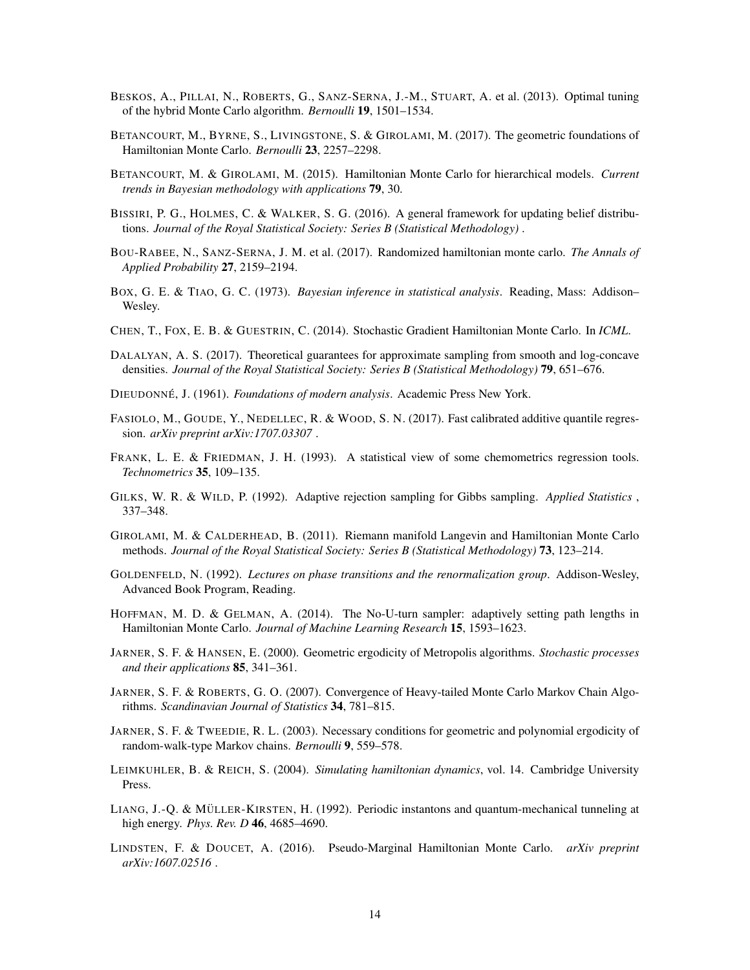- <span id="page-13-1"></span>BESKOS, A., PILLAI, N., ROBERTS, G., SANZ-SERNA, J.-M., STUART, A. et al. (2013). Optimal tuning of the hybrid Monte Carlo algorithm. *Bernoulli* 19, 1501–1534.
- <span id="page-13-0"></span>BETANCOURT, M., BYRNE, S., LIVINGSTONE, S. & GIROLAMI, M. (2017). The geometric foundations of Hamiltonian Monte Carlo. *Bernoulli* 23, 2257–2298.
- <span id="page-13-18"></span>BETANCOURT, M. & GIROLAMI, M. (2015). Hamiltonian Monte Carlo for hierarchical models. *Current trends in Bayesian methodology with applications* 79, 30.
- <span id="page-13-15"></span>BISSIRI, P. G., HOLMES, C. & WALKER, S. G. (2016). A general framework for updating belief distributions. *Journal of the Royal Statistical Society: Series B (Statistical Methodology)* .
- <span id="page-13-3"></span>BOU-RABEE, N., SANZ-SERNA, J. M. et al. (2017). Randomized hamiltonian monte carlo. *The Annals of Applied Probability* 27, 2159–2194.
- <span id="page-13-7"></span>BOX, G. E. & TIAO, G. C. (1973). *Bayesian inference in statistical analysis*. Reading, Mass: Addison– Wesley.
- <span id="page-13-12"></span>CHEN, T., FOX, E. B. & GUESTRIN, C. (2014). Stochastic Gradient Hamiltonian Monte Carlo. In *ICML*.
- <span id="page-13-8"></span>DALALYAN, A. S. (2017). Theoretical guarantees for approximate sampling from smooth and log-concave densities. *Journal of the Royal Statistical Society: Series B (Statistical Methodology)* 79, 651–676.
- <span id="page-13-20"></span>DIEUDONNE´, J. (1961). *Foundations of modern analysis*. Academic Press New York.
- <span id="page-13-14"></span>FASIOLO, M., GOUDE, Y., NEDELLEC, R. & WOOD, S. N. (2017). Fast calibrated additive quantile regression. *arXiv preprint arXiv:1707.03307* .
- <span id="page-13-10"></span>FRANK, L. E. & FRIEDMAN, J. H. (1993). A statistical view of some chemometrics regression tools. *Technometrics* 35, 109–135.
- <span id="page-13-11"></span>GILKS, W. R. & WILD, P. (1992). Adaptive rejection sampling for Gibbs sampling. *Applied Statistics* , 337–348.
- <span id="page-13-17"></span>GIROLAMI, M. & CALDERHEAD, B. (2011). Riemann manifold Langevin and Hamiltonian Monte Carlo methods. *Journal of the Royal Statistical Society: Series B (Statistical Methodology)* 73, 123–214.
- <span id="page-13-16"></span>GOLDENFELD, N. (1992). *Lectures on phase transitions and the renormalization group*. Addison-Wesley, Advanced Book Program, Reading.
- <span id="page-13-2"></span>HOFFMAN, M. D. & GELMAN, A. (2014). The No-U-turn sampler: adaptively setting path lengths in Hamiltonian Monte Carlo. *Journal of Machine Learning Research* 15, 1593–1623.
- <span id="page-13-6"></span>JARNER, S. F. & HANSEN, E. (2000). Geometric ergodicity of Metropolis algorithms. *Stochastic processes and their applications* 85, 341–361.
- <span id="page-13-5"></span>JARNER, S. F. & ROBERTS, G. O. (2007). Convergence of Heavy-tailed Monte Carlo Markov Chain Algorithms. *Scandinavian Journal of Statistics* 34, 781–815.
- <span id="page-13-19"></span>JARNER, S. F. & TWEEDIE, R. L. (2003). Necessary conditions for geometric and polynomial ergodicity of random-walk-type Markov chains. *Bernoulli* 9, 559–578.
- <span id="page-13-4"></span>LEIMKUHLER, B. & REICH, S. (2004). *Simulating hamiltonian dynamics*, vol. 14. Cambridge University Press.
- <span id="page-13-9"></span>LIANG, J.-Q. & MÜLLER-KIRSTEN, H. (1992). Periodic instantons and quantum-mechanical tunneling at high energy. *Phys. Rev. D* 46, 4685–4690.
- <span id="page-13-13"></span>LINDSTEN, F. & DOUCET, A. (2016). Pseudo-Marginal Hamiltonian Monte Carlo. *arXiv preprint arXiv:1607.02516* .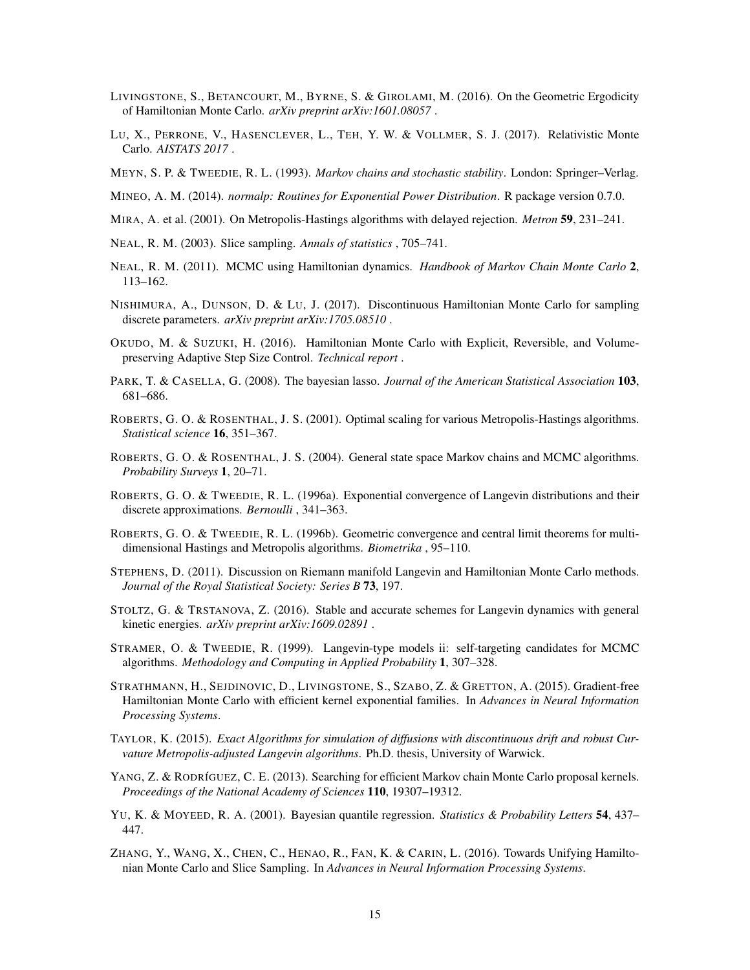- <span id="page-14-6"></span>LIVINGSTONE, S., BETANCOURT, M., BYRNE, S. & GIROLAMI, M. (2016). On the Geometric Ergodicity of Hamiltonian Monte Carlo. *arXiv preprint arXiv:1601.08057* .
- <span id="page-14-2"></span>LU, X., PERRONE, V., HASENCLEVER, L., TEH, Y. W. & VOLLMER, S. J. (2017). Relativistic Monte Carlo. *AISTATS 2017* .
- <span id="page-14-7"></span>MEYN, S. P. & TWEEDIE, R. L. (1993). *Markov chains and stochastic stability*. London: Springer–Verlag.
- <span id="page-14-9"></span>MINEO, A. M. (2014). *normalp: Routines for Exponential Power Distribution*. R package version 0.7.0.
- <span id="page-14-18"></span>MIRA, A. et al. (2001). On Metropolis-Hastings algorithms with delayed rejection. *Metron* 59, 231–241.
- <span id="page-14-14"></span>NEAL, R. M. (2003). Slice sampling. *Annals of statistics* , 705–741.
- <span id="page-14-0"></span>NEAL, R. M. (2011). MCMC using Hamiltonian dynamics. *Handbook of Markov Chain Monte Carlo* 2, 113–162.
- <span id="page-14-15"></span>NISHIMURA, A., DUNSON, D. & LU, J. (2017). Discontinuous Hamiltonian Monte Carlo for sampling discrete parameters. *arXiv preprint arXiv:1705.08510* .
- <span id="page-14-8"></span>OKUDO, M. & SUZUKI, H. (2016). Hamiltonian Monte Carlo with Explicit, Reversible, and Volumepreserving Adaptive Step Size Control. *Technical report* .
- <span id="page-14-12"></span>PARK, T. & CASELLA, G. (2008). The bayesian lasso. *Journal of the American Statistical Association* 103, 681–686.
- <span id="page-14-11"></span>ROBERTS, G. O. & ROSENTHAL, J. S. (2001). Optimal scaling for various Metropolis-Hastings algorithms. *Statistical science* 16, 351–367.
- <span id="page-14-5"></span>ROBERTS, G. O. & ROSENTHAL, J. S. (2004). General state space Markov chains and MCMC algorithms. *Probability Surveys* 1, 20–71.
- <span id="page-14-17"></span>ROBERTS, G. O. & TWEEDIE, R. L. (1996a). Exponential convergence of Langevin distributions and their discrete approximations. *Bernoulli* , 341–363.
- <span id="page-14-21"></span>ROBERTS, G. O. & TWEEDIE, R. L. (1996b). Geometric convergence and central limit theorems for multidimensional Hastings and Metropolis algorithms. *Biometrika* , 95–110.
- <span id="page-14-1"></span>STEPHENS, D. (2011). Discussion on Riemann manifold Langevin and Hamiltonian Monte Carlo methods. *Journal of the Royal Statistical Society: Series B* 73, 197.
- <span id="page-14-19"></span>STOLTZ, G. & TRSTANOVA, Z. (2016). Stable and accurate schemes for Langevin dynamics with general kinetic energies. *arXiv preprint arXiv:1609.02891* .
- <span id="page-14-4"></span>STRAMER, O. & TWEEDIE, R. (1999). Langevin-type models ii: self-targeting candidates for MCMC algorithms. *Methodology and Computing in Applied Probability* 1, 307–328.
- <span id="page-14-16"></span>STRATHMANN, H., SEJDINOVIC, D., LIVINGSTONE, S., SZABO, Z. & GRETTON, A. (2015). Gradient-free Hamiltonian Monte Carlo with efficient kernel exponential families. In *Advances in Neural Information Processing Systems*.
- <span id="page-14-20"></span>TAYLOR, K. (2015). *Exact Algorithms for simulation of diffusions with discontinuous drift and robust Curvature Metropolis-adjusted Langevin algorithms*. Ph.D. thesis, University of Warwick.
- <span id="page-14-10"></span>YANG, Z. & RODRÍGUEZ, C. E. (2013). Searching for efficient Markov chain Monte Carlo proposal kernels. *Proceedings of the National Academy of Sciences* 110, 19307–19312.
- <span id="page-14-13"></span>YU, K. & MOYEED, R. A. (2001). Bayesian quantile regression. *Statistics & Probability Letters* 54, 437– 447.
- <span id="page-14-3"></span>ZHANG, Y., WANG, X., CHEN, C., HENAO, R., FAN, K. & CARIN, L. (2016). Towards Unifying Hamiltonian Monte Carlo and Slice Sampling. In *Advances in Neural Information Processing Systems*.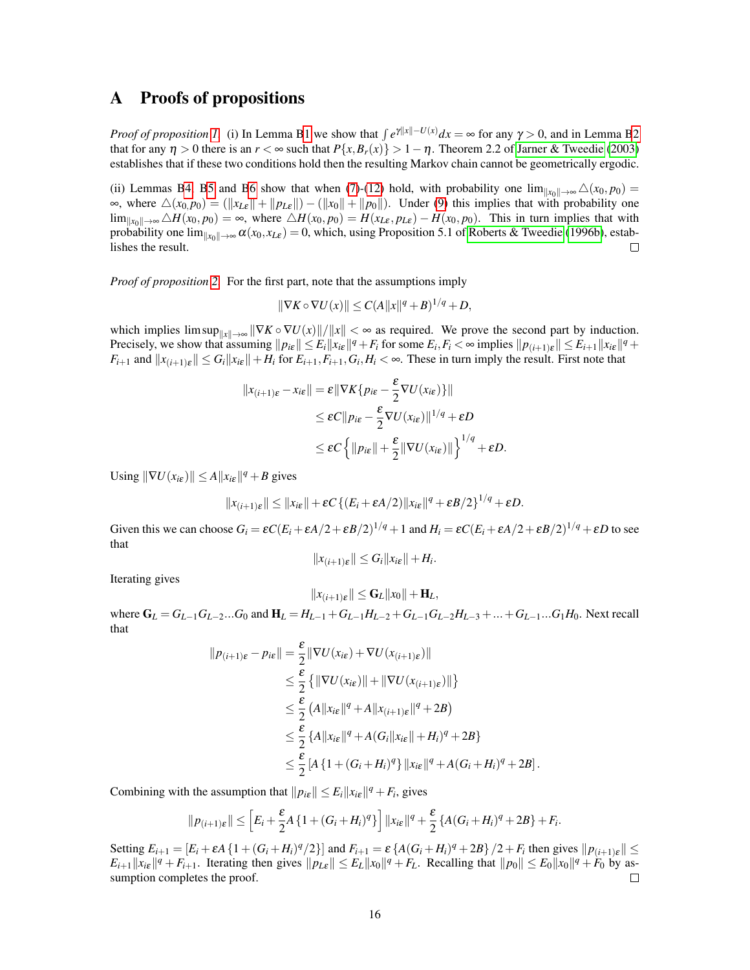### A Proofs of propositions

*Proof of proposition [1.](#page-3-3)* (i) In Lemma [B1](#page-17-0) we show that  $\int e^{\gamma ||x|| - U(x)} dx = \infty$  for any  $\gamma > 0$ , and in Lemma [B2](#page-18-0) that for any  $\eta > 0$  there is an  $r < \infty$  such that  $P\{x, B_r(x)\} > 1 - \eta$ . Theorem 2.2 of [Jarner & Tweedie](#page-13-19) [\(2003\)](#page-13-19) establishes that if these two conditions hold then the resulting Markov chain cannot be geometrically ergodic.

(ii) Lemmas [B4,](#page-18-1) [B5](#page-19-0) and [B6](#page-20-0) show that when [\(7\)](#page-3-4)-[\(12\)](#page-3-5) hold, with probability one  $\lim_{\|x_0\| \to \infty} \Delta(x_0, p_0) =$  $\infty$ , where  $\Delta(x_0, p_0) = (\Vert x_{\text{L}\varepsilon} \Vert + \Vert p_{\text{L}\varepsilon} \Vert) - (\Vert x_0 \Vert + \Vert p_0 \Vert)$ . Under [\(9\)](#page-3-0) this implies that with probability one  $\lim_{\|x_0\| \to \infty} ∆H(x_0, p_0) = ∞$ , where  $triangle H(x_0, p_0) = H(x_0, p_0) = H(x_0, p_0)$ . This in turn implies that with probability one  $\lim_{\|x_0\| \to \infty} \alpha(x_0, x_{L\varepsilon}) = 0$ , which, using Proposition 5.1 of [Roberts & Tweedie](#page-14-21) [\(1996b\)](#page-14-21), estab-<br>lishes the result. lishes the result.

*Proof of proposition [2.](#page-4-3)* For the first part, note that the assumptions imply

$$
\|\nabla K \circ \nabla U(x)\| \le C(A\|x\|^q + B)^{1/q} + D,
$$

which implies  $\limsup_{\|x\| \to \infty} \|\nabla K \circ \nabla U(x)\|/\|x\| < \infty$  as required. We prove the second part by induction. Precisely, we show that assuming  $||p_{i\epsilon}|| \le E_i ||x_{i\epsilon}||^q + F_i$  for some  $E_i, F_i < \infty$  implies  $||p_{(i+1)\epsilon}|| \le E_{i+1} ||x_{i\epsilon}||^q +$  $F_{i+1}$  and  $||x_{(i+1)\varepsilon}|| \le G_i ||x_{i\varepsilon}|| + H_i$  for  $E_{i+1}, F_{i+1}, G_i, H_i < \infty$ . These in turn imply the result. First note that

$$
||x_{(i+1)\varepsilon} - x_{i\varepsilon}|| = \varepsilon ||\nabla K\{p_{i\varepsilon} - \frac{\varepsilon}{2}\nabla U(x_{i\varepsilon})\}||
$$
  
\n
$$
\leq \varepsilon C ||p_{i\varepsilon} - \frac{\varepsilon}{2}\nabla U(x_{i\varepsilon})||^{1/q} + \varepsilon D
$$
  
\n
$$
\leq \varepsilon C \left\{ ||p_{i\varepsilon}|| + \frac{\varepsilon}{2} ||\nabla U(x_{i\varepsilon})|| \right\}^{1/q} + \varepsilon D.
$$

Using  $\|\nabla U(x_{i\epsilon})\| \le A \|x_{i\epsilon}\|^q + B$  gives

$$
||x_{(i+1)\varepsilon}|| \leq ||x_{i\varepsilon}|| + \varepsilon C \left\{ (E_i + \varepsilon A/2) ||x_{i\varepsilon}||^q + \varepsilon B/2 \right\}^{1/q} + \varepsilon D.
$$

Given this we can choose  $G_i = \varepsilon C (E_i + \varepsilon A/2 + \varepsilon B/2)^{1/q} + 1$  and  $H_i = \varepsilon C (E_i + \varepsilon A/2 + \varepsilon B/2)^{1/q} + \varepsilon D$  to see that

$$
||x_{(i+1)\varepsilon}|| \leq G_i ||x_{i\varepsilon}|| + H_i.
$$

Iterating gives

$$
||x_{(i+1)\varepsilon}|| \leq \mathbf{G}_L ||x_0|| + \mathbf{H}_L,
$$

where  $G_L = G_{L-1}G_{L-2}...G_0$  and  $H_L = H_{L-1} + G_{L-1}H_{L-2} + G_{L-1}G_{L-2}H_{L-3} + ... + G_{L-1}...G_1H_0$ . Next recall that

$$
||p_{(i+1)\varepsilon} - p_{i\varepsilon}|| = \frac{\varepsilon}{2} ||\nabla U(x_{i\varepsilon}) + \nabla U(x_{(i+1)\varepsilon})||
$$
  
\n
$$
\leq \frac{\varepsilon}{2} \{ ||\nabla U(x_{i\varepsilon})|| + ||\nabla U(x_{(i+1)\varepsilon})|| \}
$$
  
\n
$$
\leq \frac{\varepsilon}{2} (A||x_{i\varepsilon}||^q + A||x_{(i+1)\varepsilon}||^q + 2B)
$$
  
\n
$$
\leq \frac{\varepsilon}{2} \{A||x_{i\varepsilon}||^q + A(G_i||x_{i\varepsilon}|| + H_i)^q + 2B\}
$$
  
\n
$$
\leq \frac{\varepsilon}{2} [A\{1 + (G_i + H_i)^q\} ||x_{i\varepsilon}||^q + A(G_i + H_i)^q + 2B].
$$

Combining with the assumption that  $||p_{i\epsilon}|| \leq E_i ||x_{i\epsilon}||^q + F_i$ , gives

$$
||p_{(i+1)\varepsilon}|| \leq \left[E_i + \frac{\varepsilon}{2}A\left\{1 + (G_i + H_i)^q\right\}\right]||x_{i\varepsilon}||^q + \frac{\varepsilon}{2}\left\{A(G_i + H_i)^q + 2B\right\} + F_i.
$$

Setting  $E_{i+1} = [E_i + \varepsilon A \{1 + (G_i + H_i)^q/2\}]$  and  $F_{i+1} = \varepsilon \{A(G_i + H_i)^q + 2B\}/2 + F_i$  then gives  $||p_{(i+1)\varepsilon}|| \le$  $E_{i+1}||x_{i\epsilon}||^q + F_{i+1}$ . Iterating then gives  $||p_{L\epsilon}|| \le E_L ||x_0||^q + F_L$ . Recalling that  $||p_0|| \le E_0 ||x_0||^q + F_0$  by assumption completes the proof.  $\Box$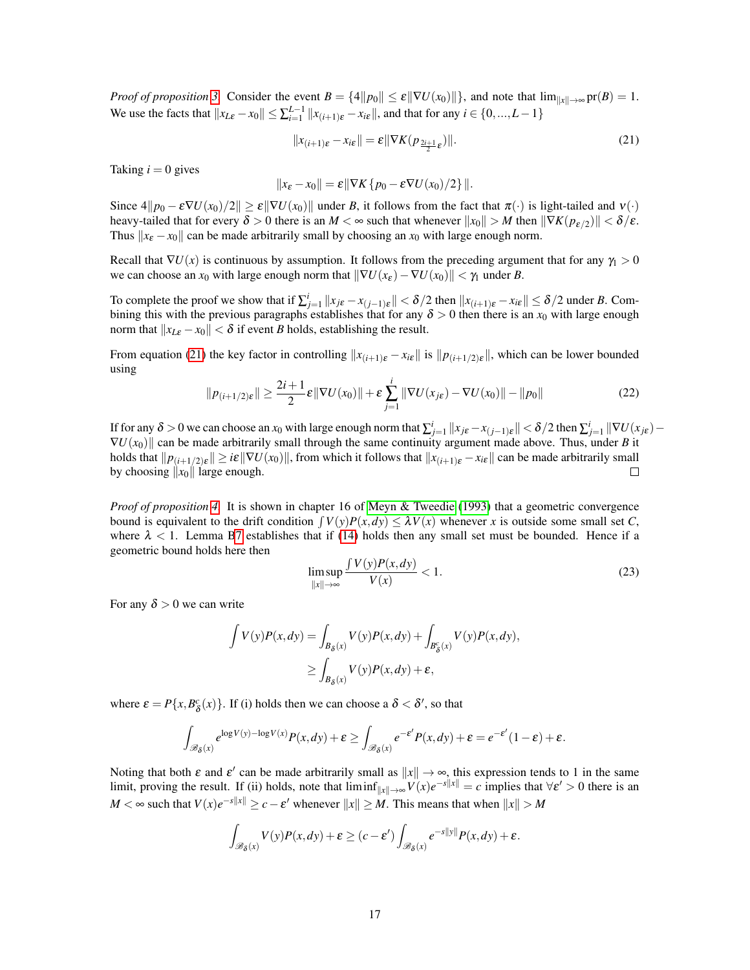*Proof of proposition* [3.](#page-4-2) Consider the event  $B = \{4||p_0|| \le \varepsilon ||\nabla U(x_0)||\}$ , and note that  $\lim_{||x|| \to \infty} \text{pr}(B) = 1$ . We use the facts that  $||x_{L\epsilon} - x_0|| \le \sum_{i=1}^{L-1} ||x_{(i+1)\epsilon} - x_{i\epsilon}||$ , and that for any  $i \in \{0, ..., L-1\}$ 

<span id="page-16-0"></span>
$$
||x_{(i+1)\varepsilon} - x_{i\varepsilon}|| = \varepsilon ||\nabla K(p_{\frac{2i+1}{2}\varepsilon})||. \tag{21}
$$

Taking  $i = 0$  gives

$$
||x_{\varepsilon}-x_0||=\varepsilon||\nabla K\{p_0-\varepsilon\nabla U(x_0)/2\}||.
$$

Since  $4||p_0 - \varepsilon \nabla U(x_0)/2|| \geq \varepsilon ||\nabla U(x_0)||$  under *B*, it follows from the fact that  $\pi(\cdot)$  is light-tailed and  $v(\cdot)$ heavy-tailed that for every  $\delta > 0$  there is an  $M < \infty$  such that whenever  $||x_0|| > M$  then  $||\nabla K(p_{\varepsilon/2})|| < \delta/\varepsilon$ . Thus  $||x_{\varepsilon} - x_0||$  can be made arbitrarily small by choosing an  $x_0$  with large enough norm.

Recall that  $\nabla U(x)$  is continuous by assumption. It follows from the preceding argument that for any  $\gamma_1 > 0$ we can choose an  $x_0$  with large enough norm that  $\|\nabla U(x_\varepsilon) - \nabla U(x_0)\| < \gamma_1$  under *B*.

To complete the proof we show that if  $\sum_{j=1}^{i} ||x_{j\epsilon} - x_{(j-1)\epsilon}|| < \delta/2$  then  $||x_{(i+1)\epsilon} - x_{i\epsilon}|| \le \delta/2$  under *B*. Combining this with the previous paragraphs establishes that for any  $\delta > 0$  then there is an  $x_0$  with large enough norm that  $||x_{L\varepsilon} - x_0|| < \delta$  if event *B* holds, establishing the result.

From equation [\(21\)](#page-16-0) the key factor in controlling  $||x_{(i+1)\varepsilon} - x_{i\varepsilon}||$  is  $||p_{(i+1/2)\varepsilon}||$ , which can be lower bounded using

$$
||p_{(i+1/2)\varepsilon}|| \geq \frac{2i+1}{2}\varepsilon ||\nabla U(x_0)|| + \varepsilon \sum_{j=1}^i ||\nabla U(x_{j\varepsilon}) - \nabla U(x_0)|| - ||p_0|| \tag{22}
$$

If for any  $\delta > 0$  we can choose an  $x_0$  with large enough norm that  $\sum_{j=1}^{i} ||x_{j\epsilon} - x_{(j-1)\epsilon}|| < \delta/2$  then  $\sum_{j=1}^{i} ||\nabla U(x_{j\epsilon}) \nabla U(x_0)$  can be made arbitrarily small through the same continuity argument made above. Thus, under *B* it holds that  $\|p_{(i+1/2)\varepsilon}\| \geq i\varepsilon \|\nabla U(x_0)\|$ , from which it follows that  $\|x_{(i+1)\varepsilon} - x_{i\varepsilon}\|$  can be made arbitrarily small by choosing  $||x_0||$  large enough.  $\Box$ 

*Proof of proposition [4.](#page-4-4)* It is shown in chapter 16 of [Meyn & Tweedie](#page-14-7) [\(1993\)](#page-14-7) that a geometric convergence bound is equivalent to the drift condition  $\int V(y)P(x, dy) \leq \lambda V(x)$  whenever *x* is outside some small set *C*, where  $\lambda < 1$ . Lemma [B7](#page-21-0) establishes that if [\(14\)](#page-4-0) holds then any small set must be bounded. Hence if a geometric bound holds here then

$$
\limsup_{\|x\| \to \infty} \frac{\int V(y)P(x, dy)}{V(x)} < 1. \tag{23}
$$

For any  $\delta > 0$  we can write

$$
\int V(y)P(x,dy) = \int_{B_\delta(x)} V(y)P(x,dy) + \int_{B_\delta^c(x)} V(y)P(x,dy),
$$
  
\n
$$
\geq \int_{B_\delta(x)} V(y)P(x,dy) + \varepsilon,
$$

where  $\varepsilon = P\{x, B_\delta^c(x)\}\$ . If (i) holds then we can choose a  $\delta < \delta'$ , so that

$$
\int_{\mathscr{B}_{\delta}(x)} e^{\log V(y) - \log V(x)} P(x, dy) + \varepsilon \ge \int_{\mathscr{B}_{\delta}(x)} e^{-\varepsilon'} P(x, dy) + \varepsilon = e^{-\varepsilon'} (1 - \varepsilon) + \varepsilon.
$$

Noting that both  $\varepsilon$  and  $\varepsilon'$  can be made arbitrarily small as  $||x|| \to \infty$ , this expression tends to 1 in the same limit, proving the result. If (ii) holds, note that  $\liminf_{\|x\|\to\infty} V(x)e^{-s\|x\|} = c$  implies that  $\forall \varepsilon' > 0$  there is an  $M < \infty$  such that  $V(x)e^{-s||x||} \ge c - \varepsilon'$  whenever  $||x|| \ge M$ . This means that when  $||x|| > M$ 

$$
\int_{\mathscr{B}_{\delta}(x)} V(y)P(x,dy) + \varepsilon \ge (c - \varepsilon') \int_{\mathscr{B}_{\delta}(x)} e^{-s||y||} P(x,dy) + \varepsilon.
$$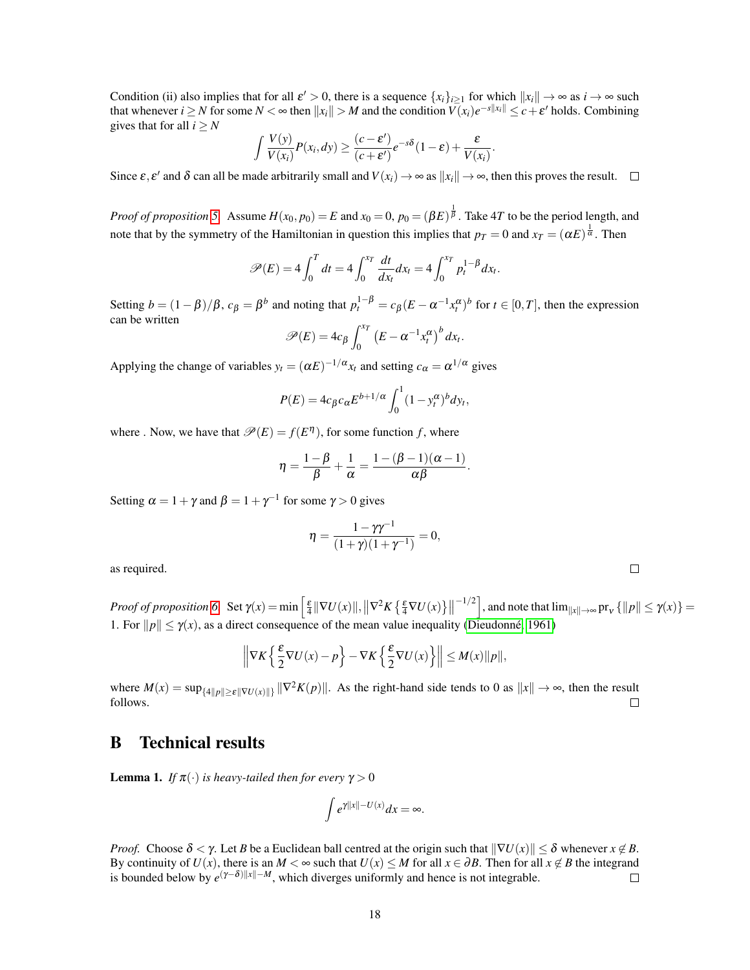Condition (ii) also implies that for all  $\varepsilon' > 0$ , there is a sequence  $\{x_i\}_{i \geq 1}$  for which  $||x_i|| \to \infty$  as  $i \to \infty$  such that whenever  $i \geq N$  for some  $N < \infty$  then  $||x_i|| > M$  and the condition  $V(x_i)e^{-s||x_i||} \leq c+\varepsilon'$  holds. Combining gives that for all  $i > N$ 

$$
\int \frac{V(y)}{V(x_i)} P(x_i, dy) \geq \frac{(c - \varepsilon')}{(c + \varepsilon')} e^{-s\delta} (1 - \varepsilon) + \frac{\varepsilon}{V(x_i)}.
$$

Since  $\varepsilon$ ,  $\varepsilon'$  and  $\delta$  can all be made arbitrarily small and  $V(x_i) \to \infty$  as  $||x_i|| \to \infty$ , then this proves the result.

*Proof of proposition* [5.](#page-5-3) Assume  $H(x_0, p_0) = E$  and  $x_0 = 0$ ,  $p_0 = (\beta E)^{\frac{1}{\beta}}$ . Take 4*T* to be the period length, and note that by the symmetry of the Hamiltonian in question this implies that  $p_T = 0$  and  $x_T = (\alpha E)^{\frac{1}{\alpha}}$ . Then

$$
\mathscr{P}(E) = 4 \int_0^T dt = 4 \int_0^{x_T} \frac{dt}{dx_t} dx_t = 4 \int_0^{x_T} p_t^{1-\beta} dx_t.
$$

Setting  $b = (1 - \beta)/\beta$ ,  $c_{\beta} = \beta^{b}$  and noting that  $p_t^{1-\beta} = c_{\beta}(E - \alpha^{-1}x_t^{\alpha})^b$  for  $t \in [0, T]$ , then the expression can be written

$$
\mathscr{P}(E) = 4c_{\beta} \int_0^{x_T} \left( E - \alpha^{-1} x_t^{\alpha} \right)^b dx_t.
$$

Applying the change of variables  $y_t = (\alpha E)^{-1/\alpha} x_t$  and setting  $c_\alpha = \alpha^{1/\alpha}$  gives

$$
P(E) = 4c_{\beta}c_{\alpha}E^{b+1/\alpha}\int_0^1(1-y_t^{\alpha})^b dy_t,
$$

where . Now, we have that  $\mathcal{P}(E) = f(E^{\eta})$ , for some function *f*, where

$$
\eta = \frac{1-\beta}{\beta} + \frac{1}{\alpha} = \frac{1-(\beta-1)(\alpha-1)}{\alpha\beta}.
$$

Setting  $\alpha = 1 + \gamma$  and  $\beta = 1 + \gamma^{-1}$  for some  $\gamma > 0$  gives

$$
\eta = \frac{1 - \gamma \gamma^{-1}}{(1 + \gamma)(1 + \gamma^{-1})} = 0,
$$

as required.

*Proof of proposition* [6.](#page-8-2) Set  $\gamma(x) = \min \left[ \frac{\varepsilon}{4} ||\nabla U(x)||, ||\nabla^2 K \left\{ \frac{\varepsilon}{4} \nabla U(x) \right\}||$  $\left[\frac{-1}{2}\right]$ , and note that  $\lim_{\|x\| \to \infty}$  pr<sub>v</sub>  $\{\|p\| \leq \gamma(x)\}$  = 1. For  $||p|| \le \gamma(x)$ , as a direct consequence of the mean value inequality (Dieudonné, 1961)

$$
\left\|\nabla K\left\{\frac{\varepsilon}{2}\nabla U(x)-p\right\}-\nabla K\left\{\frac{\varepsilon}{2}\nabla U(x)\right\}\right\|\leq M(x)\|p\|,
$$

where  $M(x) = \sup_{\{4\|p\| \ge \varepsilon \|\nabla U(x)\| \}} \|\nabla^2 K(p)\|$ . As the right-hand side tends to 0 as  $\|x\| \to \infty$ , then the result follows.  $\Box$ 

## B Technical results

<span id="page-17-0"></span>**Lemma 1.** *If*  $\pi(\cdot)$  *is heavy-tailed then for every*  $\gamma > 0$ 

$$
\int e^{\gamma ||x|| - U(x)} dx = \infty.
$$

*Proof.* Choose  $\delta < \gamma$ . Let *B* be a Euclidean ball centred at the origin such that  $\|\nabla U(x)\| \leq \delta$  whenever  $x \notin B$ . By continuity of  $U(x)$ , there is an  $M < \infty$  such that  $U(x) \leq M$  for all  $x \in \partial B$ . Then for all  $x \notin B$  the integrand is bounded below by  $e^{(\gamma - \delta) ||x|| - M}$ , which diverges uniformly and hence is not integrable.  $\Box$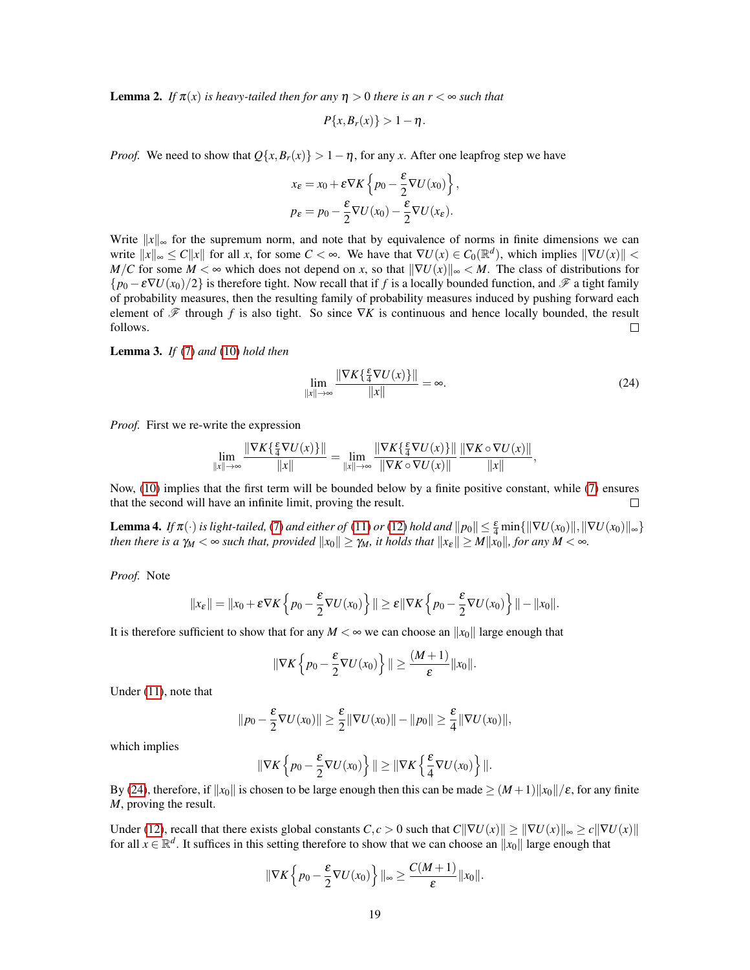<span id="page-18-0"></span>**Lemma 2.** *If*  $\pi(x)$  *is heavy-tailed then for any*  $\eta > 0$  *there is an*  $r < \infty$  *such that* 

$$
P\{x,B_r(x)\}>1-\eta.
$$

*Proof.* We need to show that  $Q\{x, B_r(x)\} > 1 - \eta$ , for any *x*. After one leapfrog step we have

$$
x_{\varepsilon} = x_0 + \varepsilon \nabla K \left\{ p_0 - \frac{\varepsilon}{2} \nabla U(x_0) \right\},
$$
  

$$
p_{\varepsilon} = p_0 - \frac{\varepsilon}{2} \nabla U(x_0) - \frac{\varepsilon}{2} \nabla U(x_{\varepsilon}).
$$

Write  $||x||_{\infty}$  for the supremum norm, and note that by equivalence of norms in finite dimensions we can write  $\|x\|_{\infty} \le C \|x\|$  for all *x*, for some  $C < \infty$ . We have that  $\nabla U(x) \in C_0(\mathbb{R}^d)$ , which implies  $\|\nabla U(x)\|$ *M*/*C* for some  $M < \infty$  which does not depend on *x*, so that  $\|\nabla U(x)\|_{\infty} < M$ . The class of distributions for  ${p_0 - \varepsilon \nabla U(x_0)/2}$  is therefore tight. Now recall that if *f* is a locally bounded function, and  $\mathscr F$  a tight family of probability measures, then the resulting family of probability measures induced by pushing forward each element of  $\mathscr F$  through *f* is also tight. So since  $\nabla K$  is continuous and hence locally bounded, the result follows.  $\Box$ 

Lemma 3. *If* [\(7\)](#page-3-4) *and* [\(10\)](#page-3-6) *hold then*

<span id="page-18-2"></span>
$$
\lim_{\|x\| \to \infty} \frac{\|\nabla K\{\frac{\varepsilon}{4}\nabla U(x)\}\|}{\|x\|} = \infty.
$$
\n(24)

*Proof.* First we re-write the expression

$$
\lim_{\|x\|\to\infty}\frac{\|\nabla K\{\frac{\varepsilon}{4}\nabla U(x)\}\|}{\|x\|}=\lim_{\|x\|\to\infty}\frac{\|\nabla K\{\frac{\varepsilon}{4}\nabla U(x)\}\|}{\|\nabla K\circ\nabla U(x)\|}\frac{\|\nabla K\circ\nabla U(x)\|}{\|x\|},
$$

Now, [\(10\)](#page-3-6) implies that the first term will be bounded below by a finite positive constant, while [\(7\)](#page-3-4) ensures that the second will have an infinite limit, proving the result.  $\Box$ 

<span id="page-18-1"></span>**Lemma 4.** *If*  $\pi(\cdot)$  *is light-tailed,* [\(7\)](#page-3-4) *and either of* [\(11\)](#page-3-7) *or* [\(12\)](#page-3-5) *hold and*  $||p_0|| \leq \frac{\varepsilon}{4}$  min{ $||\nabla U(x_0)||, ||\nabla U(x_0)||_{\infty}$ } *then there is a*  $\gamma_M < \infty$  *such that, provided*  $||x_0|| \ge \gamma_M$ , *it holds that*  $||x_\varepsilon|| \ge M ||x_0||$ *, for any*  $M < \infty$ *.* 

*Proof.* Note

$$
||x_{\varepsilon}|| = ||x_0 + \varepsilon \nabla K \left\{ p_0 - \frac{\varepsilon}{2} \nabla U(x_0) \right\}|| \geq \varepsilon ||\nabla K \left\{ p_0 - \frac{\varepsilon}{2} \nabla U(x_0) \right\}|| - ||x_0||.
$$

It is therefore sufficient to show that for any  $M < \infty$  we can choose an  $||x_0||$  large enough that

$$
\|\nabla K\left\{p_0-\frac{\varepsilon}{2}\nabla U(x_0)\right\}\| \geq \frac{(M+1)}{\varepsilon}\|x_0\|.
$$

Under [\(11\)](#page-3-7), note that

$$
||p_0 - \frac{\varepsilon}{2} \nabla U(x_0)|| \geq \frac{\varepsilon}{2} ||\nabla U(x_0)|| - ||p_0|| \geq \frac{\varepsilon}{4} ||\nabla U(x_0)||,
$$

which implies

$$
\|\nabla K\left\{p_0-\frac{\varepsilon}{2}\nabla U(x_0)\right\}\| \geq \|\nabla K\left\{\frac{\varepsilon}{4}\nabla U(x_0)\right\}\|.
$$

By [\(24\)](#page-18-2), therefore, if  $||x_0||$  is chosen to be large enough then this can be made  $\geq (M+1)||x_0||/\varepsilon$ , for any finite *M*, proving the result.

Under [\(12\)](#page-3-5), recall that there exists global constants *C*, *c* > 0 such that *C*||∇*U*(*x*)|| ≥ ||∇*U*(*x*)||∞ ≥ *c*||∇*U*(*x*)|| for all  $x \in \mathbb{R}^d$ . It suffices in this setting therefore to show that we can choose an  $||x_0||$  large enough that

$$
\|\nabla K\left\{p_0-\frac{\varepsilon}{2}\nabla U(x_0)\right\}\|_{\infty}\geq \frac{C(M+1)}{\varepsilon}\|x_0\|.
$$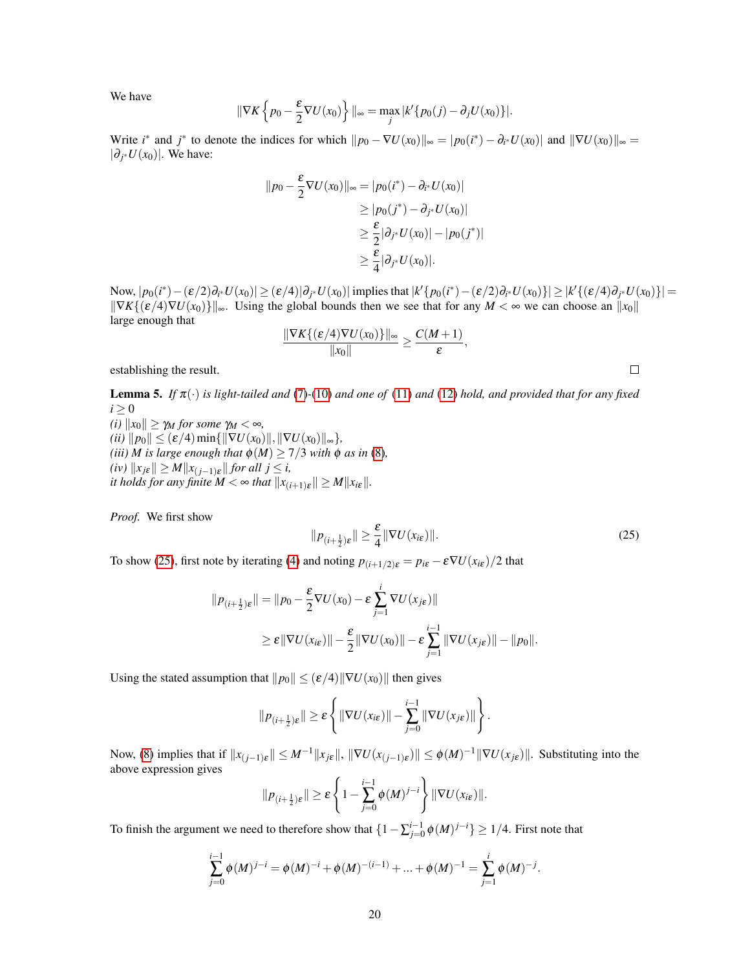We have

$$
\|\nabla K\left\{p_0-\frac{\varepsilon}{2}\nabla U(x_0)\right\}\|_{\infty}=\max_j|k'\{p_0(j)-\partial_j U(x_0)\}|.
$$

Write *i*<sup>\*</sup> and *j*<sup>\*</sup> to denote the indices for which  $||p_0 - \nabla U(x_0)||_{\infty} = |p_0(i^*) - \partial_{i^*} U(x_0)||$  and  $||\nabla U(x_0)||_{\infty} =$  $|\partial_j$ <sup>∗</sup>*U*(*x*<sub>0</sub>)|. We have:

$$
||p_0 - \frac{\varepsilon}{2} \nabla U(x_0)||_{\infty} = |p_0(i^*) - \partial_{i^*} U(x_0)|
$$
  
\n
$$
\geq |p_0(j^*) - \partial_{j^*} U(x_0)|
$$
  
\n
$$
\geq \frac{\varepsilon}{2} |\partial_{j^*} U(x_0)| - |p_0(j^*)|
$$
  
\n
$$
\geq \frac{\varepsilon}{4} |\partial_{j^*} U(x_0)|.
$$

Now,  $|p_0(i^*) - (\varepsilon/2)\partial_{i^*}U(x_0)| \geq (\varepsilon/4)|\partial_{j^*}U(x_0)|$  implies that  $|k'\{p_0(i^*) - (\varepsilon/2)\partial_{i^*}U(x_0)\}| \geq |k'\{(\varepsilon/4)\partial_{j^*}U(x_0)\}|$  $\| \nabla K \{ (\varepsilon/4) \nabla U(x_0) \} \|_{\infty}$ . Using the global bounds then we see that for any  $M < \infty$  we can choose an  $\|x_0\|$ large enough that

$$
\frac{\|\nabla K\{(\varepsilon/4)\nabla U(x_0)\}\|_{\infty}}{\|x_0\|} \ge \frac{C(M+1)}{\varepsilon}
$$

establishing the result.

<span id="page-19-0"></span>Lemma 5. *If* π(·) *is light-tailed and* [\(7\)](#page-3-4)*-*[\(10\)](#page-3-6) *and one of* [\(11\)](#page-3-7) *and* [\(12\)](#page-3-5) *hold, and provided that for any fixed*  $i \geq 0$ 

*(i)*  $||x_0|| \ge \gamma_M$  *for some*  $\gamma_M < \infty$ *,*  $(iii)$   $||p_0|| \leq (\varepsilon/4) \min\{||\nabla U(x_0)||, ||\nabla U(x_0)||_{\infty}\},\$ *(iii) M is large enough that*  $\phi(M) \geq 7/3$  *with*  $\phi$  *as in* [\(8\)](#page-3-1)*,*  $f(iv)$   $||x_{j\epsilon}|| \geq M ||x_{(j-1)\epsilon}||$  *for all*  $j \leq i$ *, it holds for any finite*  $M < \infty$  *that*  $||x_{(i+1)\varepsilon}|| \geq M ||x_{i\varepsilon}||$ .

*Proof.* We first show

<span id="page-19-1"></span>
$$
||p_{(i+\frac{1}{2})\varepsilon}|| \geq \frac{\varepsilon}{4} ||\nabla U(x_{i\varepsilon})||. \tag{25}
$$

,

To show [\(25\)](#page-19-1), first note by iterating [\(4\)](#page-2-1) and noting  $p_{(i+1/2)\varepsilon} = p_{i\varepsilon} - \varepsilon \nabla U(x_{i\varepsilon})/2$  that

$$
||p_{(i+\frac{1}{2})\varepsilon}|| = ||p_0 - \frac{\varepsilon}{2} \nabla U(x_0) - \varepsilon \sum_{j=1}^i \nabla U(x_{j\varepsilon})||
$$
  
\n
$$
\geq \varepsilon ||\nabla U(x_{i\varepsilon})|| - \frac{\varepsilon}{2} ||\nabla U(x_0)|| - \varepsilon \sum_{j=1}^{i-1} ||\nabla U(x_{j\varepsilon})|| - ||p_0||.
$$

Using the stated assumption that  $||p_0|| \le (\varepsilon/4) ||\nabla U(x_0)||$  then gives

$$
||p_{(i+\frac{1}{2})\varepsilon}|| \geq \varepsilon \left\{ ||\nabla U(x_{i\varepsilon})|| - \sum_{j=0}^{i-1} ||\nabla U(x_{j\varepsilon})|| \right\}.
$$

Now, [\(8\)](#page-3-1) implies that if  $||x_{(j-1)\varepsilon}|| \leq M^{-1}||x_{j\varepsilon}||$ ,  $||\nabla U(x_{(j-1)\varepsilon})|| \leq \phi(M)^{-1}||\nabla U(x_{j\varepsilon})||$ . Substituting into the above expression gives

$$
||p_{(i+\frac{1}{2})\varepsilon}|| \geq \varepsilon \left\{1-\sum_{j=0}^{i-1}\phi(M)^{j-i}\right\}||\nabla U(x_{i\varepsilon})||.
$$

To finish the argument we need to therefore show that  $\{1 - \sum_{j=0}^{i-1} \phi(M)^{j-i}\} \ge 1/4$ . First note that

$$
\sum_{j=0}^{i-1} \phi(M)^{j-i} = \phi(M)^{-i} + \phi(M)^{-(i-1)} + \dots + \phi(M)^{-1} = \sum_{j=1}^{i} \phi(M)^{-j}.
$$

 $\Box$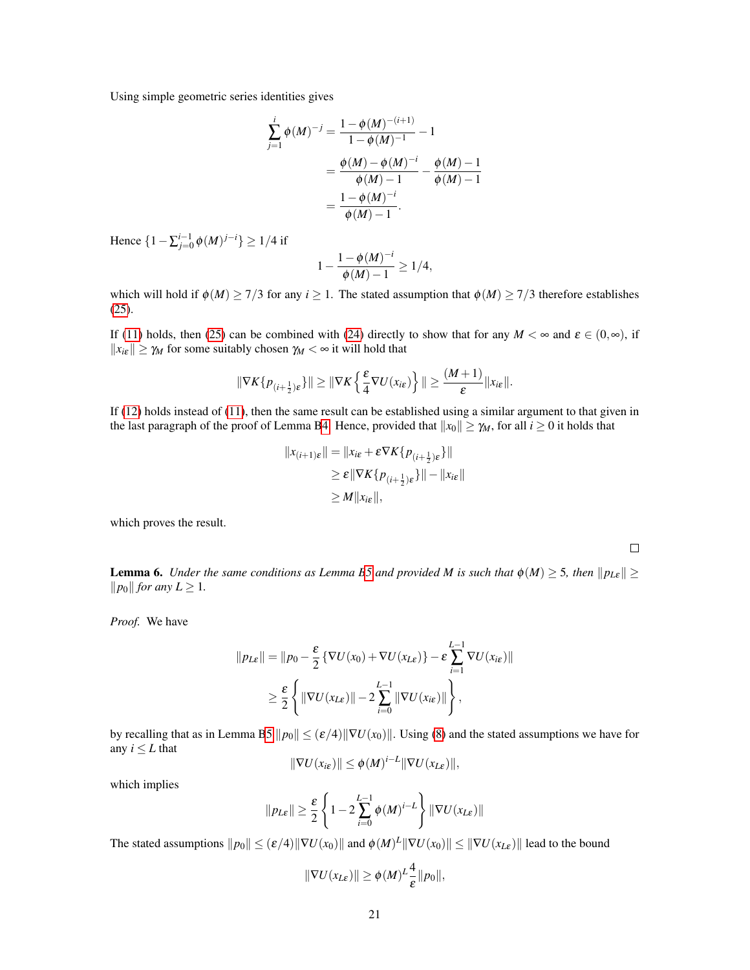Using simple geometric series identities gives

$$
\sum_{j=1}^{i} \phi(M)^{-j} = \frac{1 - \phi(M)^{-(i+1)}}{1 - \phi(M)^{-1}} - 1
$$
  
= 
$$
\frac{\phi(M) - \phi(M)^{-i}}{\phi(M) - 1} - \frac{\phi(M) - 1}{\phi(M) - 1}
$$
  
= 
$$
\frac{1 - \phi(M)^{-i}}{\phi(M) - 1}.
$$

Hence  ${1 - \sum_{j=0}^{i-1} \phi(M)^{j-i}} ≥ 1/4$  if

$$
1 - \frac{1 - \phi(M)^{-i}}{\phi(M) - 1} \ge 1/4,
$$

which will hold if  $\phi(M) \ge 7/3$  for any  $i \ge 1$ . The stated assumption that  $\phi(M) \ge 7/3$  therefore establishes [\(25\)](#page-19-1).

If [\(11\)](#page-3-7) holds, then [\(25\)](#page-19-1) can be combined with [\(24\)](#page-18-2) directly to show that for any  $M < \infty$  and  $\varepsilon \in (0, \infty)$ , if  $||x_{i\epsilon}|| \ge \gamma_M$  for some suitably chosen  $\gamma_M < \infty$  it will hold that

$$
\|\nabla K\{p_{(i+\frac{1}{2})\varepsilon}\}\| \ge \|\nabla K\left\{\frac{\varepsilon}{4}\nabla U(x_{i\varepsilon})\right\}\| \ge \frac{(M+1)}{\varepsilon}\|x_{i\varepsilon}\|.
$$

If [\(12\)](#page-3-5) holds instead of [\(11\)](#page-3-7), then the same result can be established using a similar argument to that given in the last paragraph of the proof of Lemma [B4.](#page-18-1) Hence, provided that  $||x_0|| \ge \gamma_M$ , for all  $i \ge 0$  it holds that

$$
||x_{(i+1)\varepsilon}|| = ||x_{i\varepsilon} + \varepsilon \nabla K \{p_{(i+\frac{1}{2})\varepsilon}\}||
$$
  
\n
$$
\geq \varepsilon ||\nabla K \{p_{(i+\frac{1}{2})\varepsilon}\}|| - ||x_{i\varepsilon}||
$$
  
\n
$$
\geq M ||x_{i\varepsilon}||,
$$

which proves the result.

<span id="page-20-0"></span>**Lemma 6.** *Under the same conditions as Lemma [B5](#page-19-0) and provided M is such that*  $\phi(M) \geq 5$ *, then*  $||p_{L\varepsilon}|| \geq$  $||p_0||$  *for any L*  $\geq$  1*.* 

 $\Box$ 

*Proof.* We have

$$
||p_{L\varepsilon}|| = ||p_0 - \frac{\varepsilon}{2} \{ \nabla U(x_0) + \nabla U(x_{L\varepsilon}) \} - \varepsilon \sum_{i=1}^{L-1} \nabla U(x_{i\varepsilon})||
$$
  
\n
$$
\geq \frac{\varepsilon}{2} \left\{ ||\nabla U(x_{L\varepsilon})|| - 2 \sum_{i=0}^{L-1} ||\nabla U(x_{i\varepsilon})|| \right\},
$$

by recalling that as in Lemma [B5](#page-19-0)  $\|p_0\| \le (\varepsilon/4) \|\nabla U(x_0)\|$ . Using [\(8\)](#page-3-1) and the stated assumptions we have for any  $i \leq L$  that

$$
\|\nabla U(x_{i\varepsilon})\| \leq \phi(M)^{i-L} \|\nabla U(x_{L\varepsilon})\|,
$$

which implies

$$
||p_{L\varepsilon}|| \geq \frac{\varepsilon}{2} \left\{ 1 - 2 \sum_{i=0}^{L-1} \phi(M)^{i-L} \right\} ||\nabla U(x_{L\varepsilon})||
$$

The stated assumptions  $\|p_0\| \leq (\varepsilon/4)\|\nabla U(x_0)\|$  and  $\phi(M)^L\|\nabla U(x_0)\| \leq \|\nabla U(x_{L\varepsilon})\|$  lead to the bound

$$
\|\nabla U(x_{L\varepsilon})\| \geq \phi(M)^L \frac{4}{\varepsilon} \|p_0\|,
$$